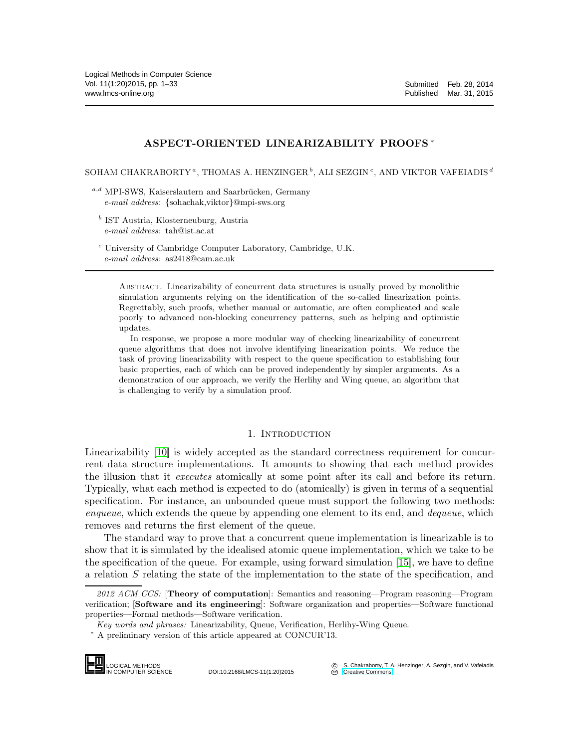# ASPECT-ORIENTED LINEARIZABILITY PROOFS <sup>∗</sup>

SOHAM CHAKRABORTY  $^a$ , THOMAS A. HENZINGER  $^b$ , ALI SEZGIN  $^c$ , AND VIKTOR VAFEIADIS  $^d$ 

- $a,d$  MPI-SWS, Kaiserslautern and Saarbrücken, Germany *e-mail address*: {sohachak,viktor}@mpi-sws.org
	- b IST Austria, Klosterneuburg, Austria *e-mail address*: tah@ist.ac.at
	- $c$  University of Cambridge Computer Laboratory, Cambridge, U.K. *e-mail address*: as2418@cam.ac.uk

Abstract. Linearizability of concurrent data structures is usually proved by monolithic simulation arguments relying on the identification of the so-called linearization points. Regrettably, such proofs, whether manual or automatic, are often complicated and scale poorly to advanced non-blocking concurrency patterns, such as helping and optimistic updates.

In response, we propose a more modular way of checking linearizability of concurrent queue algorithms that does not involve identifying linearization points. We reduce the task of proving linearizability with respect to the queue specification to establishing four basic properties, each of which can be proved independently by simpler arguments. As a demonstration of our approach, we verify the Herlihy and Wing queue, an algorithm that is challenging to verify by a simulation proof.

### 1. INTRODUCTION

<span id="page-0-0"></span>Linearizability [\[10\]](#page-31-0) is widely accepted as the standard correctness requirement for concurrent data structure implementations. It amounts to showing that each method provides the illusion that it *executes* atomically at some point after its call and before its return. Typically, what each method is expected to do (atomically) is given in terms of a sequential specification. For instance, an unbounded queue must support the following two methods: enqueue, which extends the queue by appending one element to its end, and *dequeue*, which removes and returns the first element of the queue.

The standard way to prove that a concurrent queue implementation is linearizable is to show that it is simulated by the idealised atomic queue implementation, which we take to be the specification of the queue. For example, using forward simulation [\[15\]](#page-31-1), we have to define a relation S relating the state of the implementation to the state of the specification, and

<sup>∗</sup> A preliminary version of this article appeared at CONCUR'13.



DOI:10.2168/LMCS-11(1:20)2015

*<sup>2012</sup> ACM CCS:* [Theory of computation]: Semantics and reasoning—Program reasoning—Program verification; [Software and its engineering]: Software organization and properties—Software functional properties—Formal methods—Software verification.

*Key words and phrases:* Linearizability, Queue, Verification, Herlihy-Wing Queue.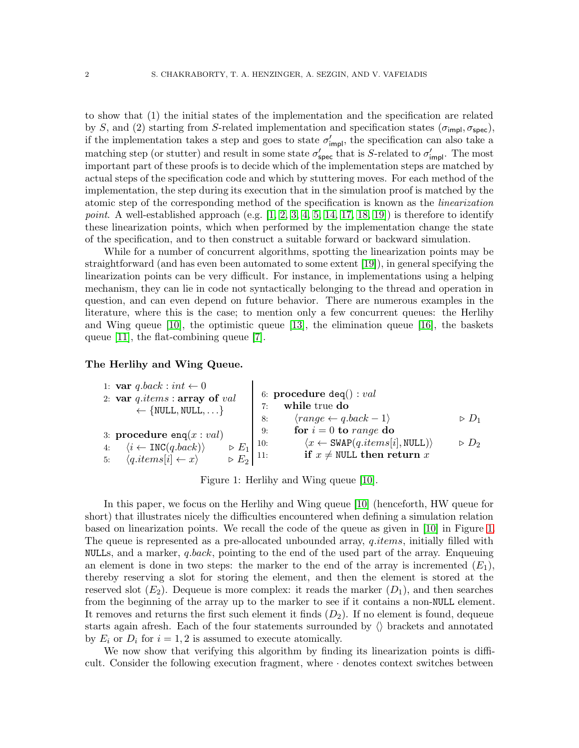to show that (1) the initial states of the implementation and the specification are related by S, and (2) starting from S-related implementation and specification states ( $\sigma_{\text{impl}}, \sigma_{\text{spec}}$ ), if the implementation takes a step and goes to state  $\sigma'_{\text{impl}}$ , the specification can also take a matching step (or stutter) and result in some state  $\sigma'_{\text{spec}}$  that is S-related to  $\sigma'_{\text{impl}}$ . The most important part of these proofs is to decide which of the implementation steps are matched by actual steps of the specification code and which by stuttering moves. For each method of the implementation, the step during its execution that in the simulation proof is matched by the atomic step of the corresponding method of the specification is known as the linearization point. A well-established approach (e.g.  $[1, 2, 3, 4, 5, 14, 17, 18, 19]$  $[1, 2, 3, 4, 5, 14, 17, 18, 19]$  $[1, 2, 3, 4, 5, 14, 17, 18, 19]$  $[1, 2, 3, 4, 5, 14, 17, 18, 19]$  $[1, 2, 3, 4, 5, 14, 17, 18, 19]$  $[1, 2, 3, 4, 5, 14, 17, 18, 19]$  $[1, 2, 3, 4, 5, 14, 17, 18, 19]$  $[1, 2, 3, 4, 5, 14, 17, 18, 19]$  $[1, 2, 3, 4, 5, 14, 17, 18, 19]$  $[1, 2, 3, 4, 5, 14, 17, 18, 19]$ ) is therefore to identify these linearization points, which when performed by the implementation change the state of the specification, and to then construct a suitable forward or backward simulation.

While for a number of concurrent algorithms, spotting the linearization points may be straightforward (and has even been automated to some extent [\[19\]](#page-31-10)), in general specifying the linearization points can be very difficult. For instance, in implementations using a helping mechanism, they can lie in code not syntactically belonging to the thread and operation in question, and can even depend on future behavior. There are numerous examples in the literature, where this is the case; to mention only a few concurrent queues: the Herlihy and Wing queue [\[10\]](#page-31-0), the optimistic queue [\[13\]](#page-31-11), the elimination queue [\[16\]](#page-31-12), the baskets queue [\[11\]](#page-31-13), the flat-combining queue [\[7\]](#page-31-14).

# The Herlihy and Wing Queue.

1: 
$$
\text{var } q\text{.}i\text{ terms}: \text{array of } val
$$
  
\n2:  $\text{var } q\text{.}i\text{ terms}: \text{array of } val$   
\n4:  $\langle i \leftarrow \text{INC}(q\text{.}i\text{back}) \rangle$   
\n5:  $\langle q\text{.}i\text{ terms}[i] \leftarrow x \rangle$   
\n6:  $\text{procedure } \text{deg}(i): val$   
\n7:  $\text{while true } \text{do}$   
\n8:  $\langle range \leftarrow q\text{.}i\text{ back} - 1 \rangle$   
\n9:  $\text{for } i = 0 \text{ to } range \text{ do}$   
\n10:  $\langle x \leftarrow \text{SWAP}(q\text{.}i\text{ terms}[i], \text{NULL}) \rangle$   
\n11:  $\text{if } x \neq \text{NULL} \text{ then return } x$   
\n $\langle q\text{.}i\text{ terms}[i] \leftarrow x \rangle$   
\n $\rangle$ 

<span id="page-1-0"></span>Figure 1: Herlihy and Wing queue [\[10\]](#page-31-0).

In this paper, we focus on the Herlihy and Wing queue [\[10\]](#page-31-0) (henceforth, HW queue for short) that illustrates nicely the difficulties encountered when defining a simulation relation based on linearization points. We recall the code of the queue as given in [\[10\]](#page-31-0) in Figure [1.](#page-1-0) The queue is represented as a pre-allocated unbounded array, *q.items*, initially filled with NULLs, and a marker, *q.back*, pointing to the end of the used part of the array. Enqueuing an element is done in two steps: the marker to the end of the array is incremented  $(E_1)$ , thereby reserving a slot for storing the element, and then the element is stored at the reserved slot  $(E_2)$ . Dequeue is more complex: it reads the marker  $(D_1)$ , and then searches from the beginning of the array up to the marker to see if it contains a non-NULL element. It removes and returns the first such element it finds  $(D_2)$ . If no element is found, dequeue starts again afresh. Each of the four statements surrounded by  $\langle \rangle$  brackets and annotated by  $E_i$  or  $D_i$  for  $i = 1, 2$  is assumed to execute atomically.

We now show that verifying this algorithm by finding its linearization points is difficult. Consider the following execution fragment, where · denotes context switches between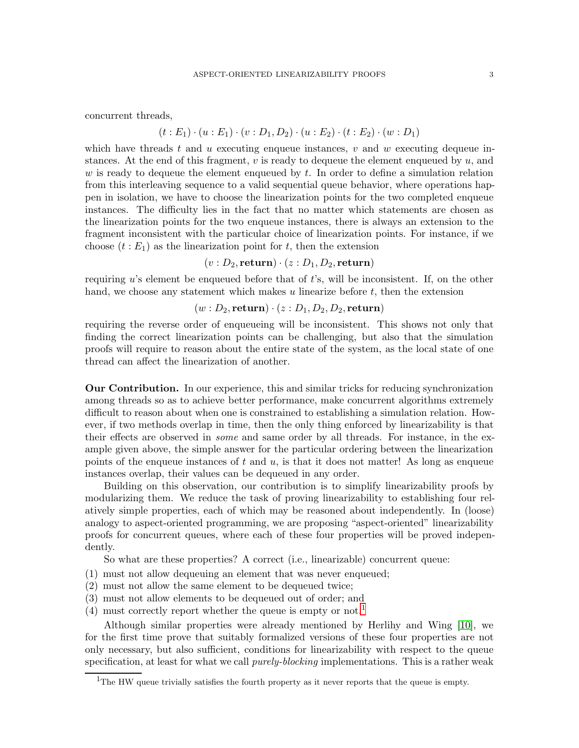concurrent threads,

$$
(t: E_1) \cdot (u: E_1) \cdot (v: D_1, D_2) \cdot (u: E_2) \cdot (t: E_2) \cdot (w: D_1)
$$

which have threads t and u executing enqueue instances, v and w executing dequeue instances. At the end of this fragment,  $v$  is ready to dequeue the element enqueued by  $u$ , and w is ready to dequeue the element enqueued by  $t$ . In order to define a simulation relation from this interleaving sequence to a valid sequential queue behavior, where operations happen in isolation, we have to choose the linearization points for the two completed enqueue instances. The difficulty lies in the fact that no matter which statements are chosen as the linearization points for the two enqueue instances, there is always an extension to the fragment inconsistent with the particular choice of linearization points. For instance, if we choose  $(t : E_1)$  as the linearization point for t, then the extension

 $(v : D_2$ , return)  $\cdot (z : D_1, D_2)$ , return)

requiring  $u$ 's element be enqueued before that of  $t$ 's, will be inconsistent. If, on the other hand, we choose any statement which makes  $u$  linearize before  $t$ , then the extension

# $(w : D_2$ , return)  $\cdot (z : D_1, D_2, D_2, \text{return})$

requiring the reverse order of enqueueing will be inconsistent. This shows not only that finding the correct linearization points can be challenging, but also that the simulation proofs will require to reason about the entire state of the system, as the local state of one thread can affect the linearization of another.

Our Contribution. In our experience, this and similar tricks for reducing synchronization among threads so as to achieve better performance, make concurrent algorithms extremely difficult to reason about when one is constrained to establishing a simulation relation. However, if two methods overlap in time, then the only thing enforced by linearizability is that their effects are observed in some and same order by all threads. For instance, in the example given above, the simple answer for the particular ordering between the linearization points of the enqueue instances of  $t$  and  $u$ , is that it does not matter! As long as enqueue instances overlap, their values can be dequeued in any order.

Building on this observation, our contribution is to simplify linearizability proofs by modularizing them. We reduce the task of proving linearizability to establishing four relatively simple properties, each of which may be reasoned about independently. In (loose) analogy to aspect-oriented programming, we are proposing "aspect-oriented" linearizability proofs for concurrent queues, where each of these four properties will be proved independently.

So what are these properties? A correct (i.e., linearizable) concurrent queue:

- (1) must not allow dequeuing an element that was never enqueued;
- (2) must not allow the same element to be dequeued twice;
- (3) must not allow elements to be dequeued out of order; and
- (4) must correctly report whether the queue is empty or not.<sup>[1](#page-2-0)</sup>

Although similar properties were already mentioned by Herlihy and Wing [\[10\]](#page-31-0), we for the first time prove that suitably formalized versions of these four properties are not only necessary, but also sufficient, conditions for linearizability with respect to the queue specification, at least for what we call *purely-blocking* implementations. This is a rather weak

<span id="page-2-0"></span><sup>&</sup>lt;sup>1</sup>The HW queue trivially satisfies the fourth property as it never reports that the queue is empty.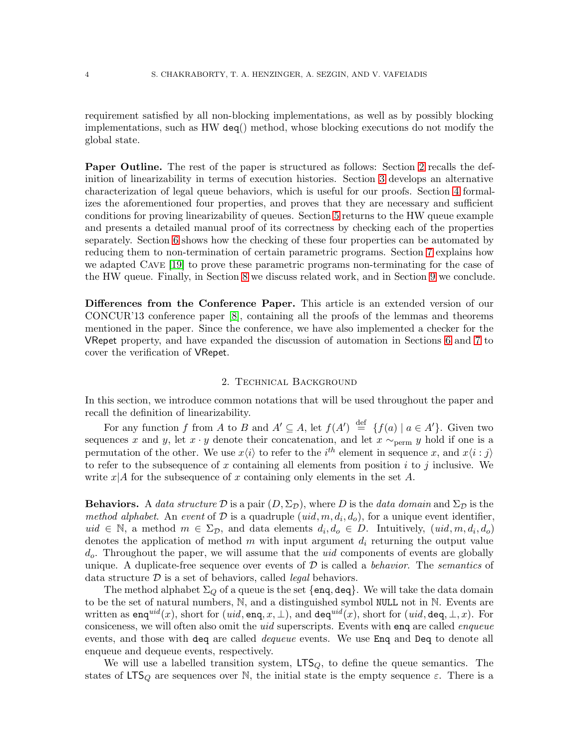requirement satisfied by all non-blocking implementations, as well as by possibly blocking implementations, such as HW deq() method, whose blocking executions do not modify the global state.

Paper Outline. The rest of the paper is structured as follows: Section [2](#page-3-0) recalls the definition of linearizability in terms of execution histories. Section [3](#page-5-0) develops an alternative characterization of legal queue behaviors, which is useful for our proofs. Section [4](#page-10-0) formalizes the aforementioned four properties, and proves that they are necessary and sufficient conditions for proving linearizability of queues. Section [5](#page-21-0) returns to the HW queue example and presents a detailed manual proof of its correctness by checking each of the properties separately. Section [6](#page-22-0) shows how the checking of these four properties can be automated by reducing them to non-termination of certain parametric programs. Section [7](#page-26-0) explains how we adapted Cave [\[19\]](#page-31-10) to prove these parametric programs non-terminating for the case of the HW queue. Finally, in Section [8](#page-29-0) we discuss related work, and in Section [9](#page-30-0) we conclude.

Differences from the Conference Paper. This article is an extended version of our CONCUR'13 conference paper [\[8\]](#page-31-15), containing all the proofs of the lemmas and theorems mentioned in the paper. Since the conference, we have also implemented a checker for the VRepet property, and have expanded the discussion of automation in Sections [6](#page-22-0) and [7](#page-26-0) to cover the verification of VRepet.

### 2. Technical Background

<span id="page-3-0"></span>In this section, we introduce common notations that will be used throughout the paper and recall the definition of linearizability.

For any function f from A to B and  $A' \subseteq A$ , let  $f(A') \stackrel{\text{def}}{=} \{f(a) | a \in A'\}$ . Given two sequences x and y, let  $x \cdot y$  denote their concatenation, and let  $x \sim_{\text{perm}} y$  hold if one is a permutation of the other. We use  $x\langle i \rangle$  to refer to the i<sup>th</sup> element in sequence x, and  $x\langle i : j \rangle$ to refer to the subsequence of x containing all elements from position i to j inclusive. We write  $x|A$  for the subsequence of x containing only elements in the set A.

**Behaviors.** A data structure  $\mathcal{D}$  is a pair  $(D, \Sigma_{\mathcal{D}})$ , where D is the data domain and  $\Sigma_{\mathcal{D}}$  is the method alphabet. An event of D is a quadruple  $(uid, m, d_i, d_o)$ , for a unique event identifier, uid ∈ N, a method  $m \in \Sigma_{\mathcal{D}}$ , and data elements  $d_i, d_o \in \mathcal{D}$ . Intuitively,  $(uid, m, d_i, d_o)$ denotes the application of method m with input argument  $d_i$  returning the output value  $d<sub>o</sub>$ . Throughout the paper, we will assume that the *uid* components of events are globally unique. A duplicate-free sequence over events of  $D$  is called a *behavior*. The *semantics* of data structure  $\mathcal D$  is a set of behaviors, called *legal* behaviors.

The method alphabet  $\Sigma_Q$  of a queue is the set  $\{eng, deg\}$ . We will take the data domain to be the set of natural numbers, N, and a distinguished symbol NULL not in N. Events are written as enq<sup>uid</sup> $(x)$ , short for  $(uid, \text{eng}, x, \perp)$ , and deq<sup>uid</sup> $(x)$ , short for  $(uid, \text{deg}, \perp, x)$ . For consiceness, we will often also omit the *uid* superscripts. Events with enq are called *enqueue* events, and those with deq are called *dequeue* events. We use Enq and Deq to denote all enqueue and dequeue events, respectively.

We will use a labelled transition system,  $LTS_Q$ , to define the queue semantics. The states of LTS<sub>Q</sub> are sequences over N, the initial state is the empty sequence  $\varepsilon$ . There is a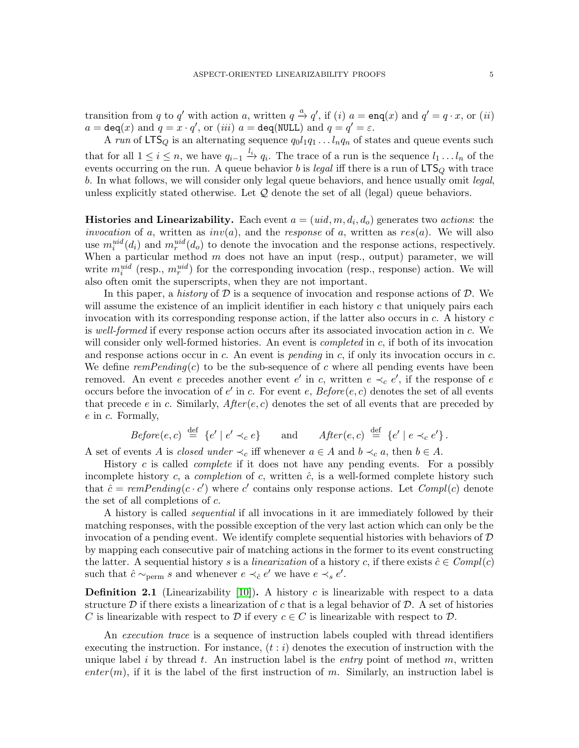transition from q to q' with action a, written  $q \stackrel{a}{\rightarrow} q'$ , if  $(i)$   $a = \text{enq}(x)$  and  $q' = q \cdot x$ , or  $(ii)$  $a = \text{deg}(x)$  and  $q = x \cdot q'$ , or  $(iii)$   $a = \text{deg}(\text{NULL})$  and  $q = q' = \varepsilon$ .

A run of LTS<sub>Q</sub> is an alternating sequence  $q_0l_1q_1 \ldots l_nq_n$  of states and queue events such that for all  $1 \leq i \leq n$ , we have  $q_{i-1} \stackrel{l_i}{\rightarrow} q_i$ . The trace of a run is the sequence  $l_1 \ldots l_n$  of the events occurring on the run. A queue behavior b is legal iff there is a run of  $LTS_Q$  with trace b. In what follows, we will consider only legal queue behaviors, and hence usually omit legal, unless explicitly stated otherwise. Let  $\mathcal Q$  denote the set of all (legal) queue behaviors.

**Histories and Linearizability.** Each event  $a = (uid, m, d_i, d_o)$  generates two *actions*: the invocation of a, written as  $inv(a)$ , and the response of a, written as  $res(a)$ . We will also use  $m_i^{uid}(d_i)$  and  $m_r^{uid}(d_o)$  to denote the invocation and the response actions, respectively. When a particular method  $m$  does not have an input (resp., output) parameter, we will write  $m_i^{uid}$  (resp.,  $m_r^{uid}$ ) for the corresponding invocation (resp., response) action. We will also often omit the superscripts, when they are not important.

In this paper, a history of  $\mathcal D$  is a sequence of invocation and response actions of  $\mathcal D$ . We will assume the existence of an implicit identifier in each history  $c$  that uniquely pairs each invocation with its corresponding response action, if the latter also occurs in  $c$ . A history  $c$ is well-formed if every response action occurs after its associated invocation action in c. We will consider only well-formed histories. An event is *completed* in  $c$ , if both of its invocation and response actions occur in c. An event is *pending* in c, if only its invocation occurs in c. We define  $remPending(c)$  to be the sub-sequence of c where all pending events have been removed. An event e precedes another event e' in c, written  $e \prec_c e'$ , if the response of e occurs before the invocation of  $e'$  in c. For event e,  $Before(e, c)$  denotes the set of all events that precede e in c. Similarly,  $After(e, c)$  denotes the set of all events that are preceded by e in c. Formally,

$$
Before(e, c) \stackrel{\text{def}}{=} \{e' \mid e' \prec_c e\} \quad \text{and} \quad After(e, c) \stackrel{\text{def}}{=} \{e' \mid e \prec_c e'\}.
$$

A set of events A is closed under  $\prec_c$  iff whenever  $a \in A$  and  $b \prec_c a$ , then  $b \in A$ .

History  $c$  is called *complete* if it does not have any pending events. For a possibly incomplete history c, a completion of c, written  $\hat{c}$ , is a well-formed complete history such that  $\hat{c} = remPending(c \cdot c')$  where c' contains only response actions. Let  $Compl(c)$  denote the set of all completions of c.

A history is called sequential if all invocations in it are immediately followed by their matching responses, with the possible exception of the very last action which can only be the invocation of a pending event. We identify complete sequential histories with behaviors of  $\mathcal D$ by mapping each consecutive pair of matching actions in the former to its event constructing the latter. A sequential history s is a linearization of a history c, if there exists  $\hat{c} \in Compl(c)$ such that  $\hat{c} \sim_{\text{perm}} s$  and whenever  $e \prec_{\hat{c}} e'$  we have  $e \prec_s e'$ .

**Definition 2.1** (Linearizability [\[10\]](#page-31-0)). A history c is linearizable with respect to a data structure D if there exists a linearization of c that is a legal behavior of D. A set of histories C is linearizable with respect to D if every  $c \in C$  is linearizable with respect to D.

An execution trace is a sequence of instruction labels coupled with thread identifiers executing the instruction. For instance,  $(t : i)$  denotes the execution of instruction with the unique label i by thread t. An instruction label is the entry point of method m, written  $enter(m)$ , if it is the label of the first instruction of m. Similarly, an instruction label is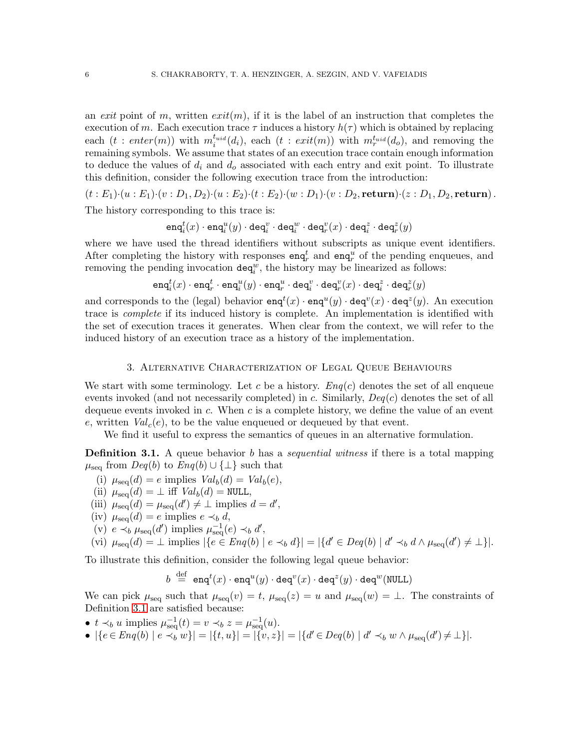an exit point of m, written  $exit(m)$ , if it is the label of an instruction that completes the execution of m. Each execution trace  $\tau$  induces a history  $h(\tau)$  which is obtained by replacing each  $(t: enter(m))$  with  $m_i^{t_{uid}}(d_i)$ , each  $(t: exit(m))$  with  $m_i^{t_{uid}}(d_o)$ , and removing the remaining symbols. We assume that states of an execution trace contain enough information to deduce the values of  $d_i$  and  $d_o$  associated with each entry and exit point. To illustrate this definition, consider the following execution trace from the introduction:

 $(t : E_1) \cdot (u : E_1) \cdot (v : D_1, D_2) \cdot (u : E_2) \cdot (t : E_2) \cdot (w : D_1) \cdot (v : D_2, \textbf{return}) \cdot (z : D_1, D_2, \textbf{return}).$ 

The history corresponding to this trace is:

 $\mathtt{eng}_i^t(x) \cdot \mathtt{eng}_i^u(y) \cdot \mathtt{deg}_i^v \cdot \mathtt{deg}_i^w \cdot \mathtt{deg}_r^v(x) \cdot \mathtt{deg}_i^z \cdot \mathtt{deg}_r^z(y)$ 

where we have used the thread identifiers without subscripts as unique event identifiers. After completing the history with responses  $\text{enq}_r^t$  and  $\text{enq}_r^u$  of the pending enqueues, and removing the pending invocation  $\texttt{deq}^w_i$ , the history may be linearized as follows:

 $\mathtt{eng}_i^t(x) \cdot \mathtt{eng}_r^t \cdot \mathtt{eng}_i^u(y) \cdot \mathtt{eng}_r^u \cdot \mathtt{deg}_i^v \cdot \mathtt{deg}_r^v(x) \cdot \mathtt{deg}_i^z \cdot \mathtt{deg}_r^z(y)$ 

and corresponds to the (legal) behavior  $\mathsf{enq}^t(x) \cdot \mathsf{enq}^u(y) \cdot \mathsf{deq}^v(x) \cdot \mathsf{deq}^z(y)$ . An execution trace is complete if its induced history is complete. An implementation is identified with the set of execution traces it generates. When clear from the context, we will refer to the induced history of an execution trace as a history of the implementation.

#### 3. Alternative Characterization of Legal Queue Behaviours

<span id="page-5-0"></span>We start with some terminology. Let c be a history.  $Eng(c)$  denotes the set of all enqueue events invoked (and not necessarily completed) in c. Similarly,  $Deg(c)$  denotes the set of all dequeue events invoked in  $c$ . When  $c$  is a complete history, we define the value of an event e, written  $Val_c(e)$ , to be the value enqueued or dequeued by that event.

We find it useful to express the semantics of queues in an alternative formulation.

<span id="page-5-1"></span>**Definition 3.1.** A queue behavior b has a *sequential witness* if there is a total mapping  $\mu_{\text{seq}}$  from  $Deg(b)$  to  $Eng(b) \cup {\perp}$  such that

- (i)  $\mu_{\rm sea}(d) = e$  implies  $Val_b(d) = Val_b(e),$
- (ii)  $\mu_{\rm seq}(d) = \perp$  iff  $Val_b(d) = \text{NULL},$
- (iii)  $\mu_{\text{seq}}(d) = \mu_{\text{seq}}(d') \neq \bot$  implies  $d = d'$ ,
- (iv)  $\mu_{\text{seq}}(d) = e$  implies  $e \prec_b d$ ,
- (v)  $e \prec_b \mu_{\text{seq}}(d')$  implies  $\mu_{\text{seq}}^{-1}(e) \prec_b d'$ ,

$$
\text{(vi) } \mu_{\text{seq}}(d) = \bot \text{ implies } |\{e \in \text{Eng}(b) \mid e \prec_b d\}| = |\{d' \in \text{Deg}(b) \mid d' \prec_b d \land \mu_{\text{seq}}(d') \neq \bot\}|.
$$

To illustrate this definition, consider the following legal queue behavior:

 $b\ \stackrel{\rm def}{=} \ {\sf enq}^t(x)\cdot {\sf enq}^u(y)\cdot {\sf deq}^v(x)\cdot {\sf deq}^z(y)\cdot {\sf deq}^w(\texttt{NULL})$ 

We can pick  $\mu_{\text{seq}}$  such that  $\mu_{\text{seq}}(v) = t$ ,  $\mu_{\text{seq}}(z) = u$  and  $\mu_{\text{seq}}(w) = \bot$ . The constraints of Definition [3.1](#page-5-1) are satisfied because:

- $t \prec_b u$  implies  $\mu_{\text{seq}}^{-1}(t) = v \prec_b z = \mu_{\text{seq}}^{-1}(u)$ .
- $|\{e \in Eng(b) \mid e \prec_b w\}| = |\{t, u\}| = |\{v, z\}| = |\{d' \in Deg(b) \mid d' \prec_b w \land \mu_{seq}(d') \neq \bot\}|.$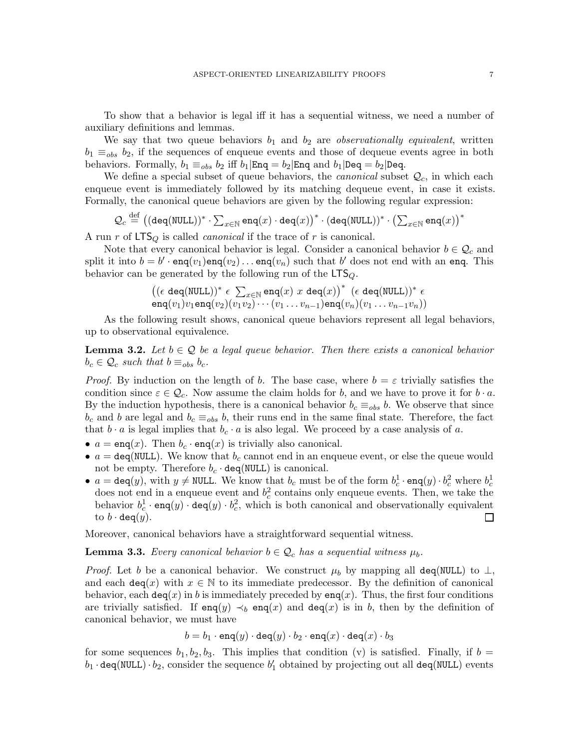To show that a behavior is legal iff it has a sequential witness, we need a number of auxiliary definitions and lemmas.

We say that two queue behaviors  $b_1$  and  $b_2$  are *observationally equivalent*, written  $b_1 \equiv_{obs} b_2$ , if the sequences of enqueue events and those of dequeue events agree in both behaviors. Formally,  $b_1 \equiv_{obs} b_2$  iff  $b_1|\text{Eng} = b_2|\text{Eng}$  and  $b_1|\text{Deg} = b_2|\text{Deg}$ .

We define a special subset of queue behaviors, the *canonical* subset  $\mathcal{Q}_c$ , in which each enqueue event is immediately followed by its matching dequeue event, in case it exists. Formally, the canonical queue behaviors are given by the following regular expression:

$$
\mathcal{Q}_c \stackrel{\text{def}}{=} ((\text{deg}(\text{NULL}))^* \cdot \sum_{x \in \mathbb{N}} \text{eng}(x) \cdot \text{deg}(x))^* \cdot (\text{deg}(\text{NULL}))^* \cdot \left(\sum_{x \in \mathbb{N}} \text{eng}(x)\right)^*
$$

A run r of  $LTS_Q$  is called *canonical* if the trace of r is canonical.

Note that every canonical behavior is legal. Consider a canonical behavior  $b \in \mathcal{Q}_c$  and split it into  $b = b' \cdot \text{enq}(v_1) \text{enq}(v_2) \dots \text{enq}(v_n)$  such that  $b'$  does not end with an enq. This behavior can be generated by the following run of the  $LTS_Q$ .

$$
\big((\epsilon \deg(\texttt{NULL}))^* \epsilon \sum_{x \in \mathbb{N}} \texttt{enq}(x) \ x \deg(x)\big)^* \ (\epsilon \deg(\texttt{NULL}))^* \ \epsilon \\ \texttt{enq}(v_1)v_1\texttt{enq}(v_2)(v_1v_2)\cdots(v_1\ldots v_{n-1})\texttt{enq}(v_n)(v_1\ldots v_{n-1}v_n)\big)
$$

As the following result shows, canonical queue behaviors represent all legal behaviors, up to observational equivalence.

<span id="page-6-0"></span>**Lemma 3.2.** Let  $b \in \mathcal{Q}$  be a legal queue behavior. Then there exists a canonical behavior  $b_c \in \mathcal{Q}_c$  such that  $b \equiv_{obs} b_c$ .

*Proof.* By induction on the length of b. The base case, where  $b = \varepsilon$  trivially satisfies the condition since  $\varepsilon \in \mathcal{Q}_c$ . Now assume the claim holds for b, and we have to prove it for  $b \cdot a$ . By the induction hypothesis, there is a canonical behavior  $b_c \equiv_{obs} b$ . We observe that since  $b_c$  and b are legal and  $b_c \equiv_{obs} b$ , their runs end in the same final state. Therefore, the fact that  $b \cdot a$  is legal implies that  $b_c \cdot a$  is also legal. We proceed by a case analysis of a.

- $a = \text{enq}(x)$ . Then  $b_c \cdot \text{enq}(x)$  is trivially also canonical.
- $a = \text{deg}(\text{NULL})$ . We know that  $b_c$  cannot end in an enqueue event, or else the queue would not be empty. Therefore  $b_c \cdot \text{deg}(\text{NULL})$  is canonical.
- $a = \text{deg}(y)$ , with  $y \neq \text{NULL}$ . We know that  $b_c$  must be of the form  $b_c^1 \cdot \text{enq}(y) \cdot b_c^2$  where  $b_c^1$ does not end in a enqueue event and  $b_c^2$  contains only enqueue events. Then, we take the behavior  $b_c^1 \cdot \text{enq}(y) \cdot \text{deq}(y) \cdot b_c^2$ , which is both canonical and observationally equivalent to  $b \cdot \text{deg}(y)$ .  $\Box$

Moreover, canonical behaviors have a straightforward sequential witness.

<span id="page-6-1"></span>**Lemma 3.3.** Every canonical behavior  $b \in \mathcal{Q}_c$  has a sequential witness  $\mu_b$ .

*Proof.* Let b be a canonical behavior. We construct  $\mu_b$  by mapping all deq(NULL) to  $\perp$ , and each deq(x) with  $x \in \mathbb{N}$  to its immediate predecessor. By the definition of canonical behavior, each deq(x) in b is immediately preceded by enq(x). Thus, the first four conditions are trivially satisfied. If enq(y)  $\prec_b$  enq(x) and deq(x) is in b, then by the definition of canonical behavior, we must have

$$
b = b_1 \cdot \texttt{enq}(y) \cdot \texttt{deq}(y) \cdot b_2 \cdot \texttt{enq}(x) \cdot \texttt{deq}(x) \cdot b_3
$$

for some sequences  $b_1, b_2, b_3$ . This implies that condition (v) is satisfied. Finally, if  $b =$  $b_1 \cdot$ deq(NULL) $\cdot b_2$ , consider the sequence  $b_1'$  obtained by projecting out all deq(NULL) events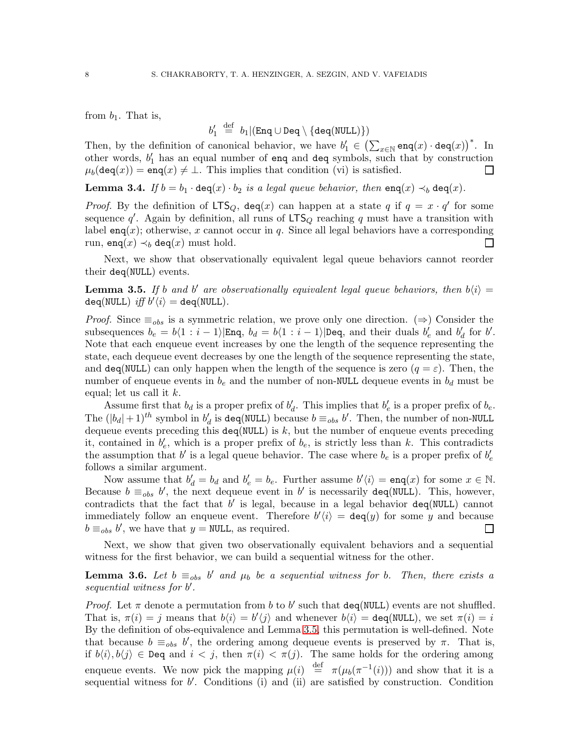from  $b_1$ . That is,

$$
b_1' \stackrel{\text{def}}{=} b_1 | (\text{Eng} \cup \text{Deg} \setminus \{\text{deg}(\text{NULL})\})
$$

Then, by the definition of canonical behavior, we have  $b'_1 \in (\sum_{x \in \mathbb{N}} \mathsf{enq}(x) \cdot \mathsf{deq}(x))^*$ . In other words, b ′ <sup>1</sup> has an equal number of enq and deq symbols, such that by construction  $\mu_b(\text{deg}(x)) = \text{eng}(x) \neq \bot$ . This implies that condition (vi) is satisfied.  $\Box$ 

<span id="page-7-1"></span>**Lemma 3.4.** If  $b = b_1 \cdot \text{deg}(x) \cdot b_2$  is a legal queue behavior, then  $\text{eng}(x) \prec_b \text{deg}(x)$ .

*Proof.* By the definition of  $LTS_Q$ ,  $deq(x)$  can happen at a state q if  $q = x \cdot q'$  for some sequence q'. Again by definition, all runs of  $LTS_Q$  reaching q must have a transition with label enq(x); otherwise, x cannot occur in q. Since all legal behaviors have a corresponding run, enq $(x) \prec_b \text{deg}(x)$  must hold. П

Next, we show that observationally equivalent legal queue behaviors cannot reorder their deq(NULL) events.

<span id="page-7-0"></span>**Lemma 3.5.** If b and b' are observationally equivalent legal queue behaviors, then  $b\langle i \rangle =$  $\texttt{deg}(\texttt{NULL}) \textit{ iff } b'\langle i \rangle = \texttt{deg}(\texttt{NULL}).$ 

*Proof.* Since  $\equiv_{obs}$  is a symmetric relation, we prove only one direction. ( $\Rightarrow$ ) Consider the subsequences  $b_e = b\langle 1 : i - 1 \rangle |\text{Eng}, b_d = b\langle 1 : i - 1 \rangle |\text{Deg}, \text{ and their duals } b'_e \text{ and } b'_d \text{ for } b'.$ Note that each enqueue event increases by one the length of the sequence representing the state, each dequeue event decreases by one the length of the sequence representing the state, and deq(NULL) can only happen when the length of the sequence is zero  $(q = \varepsilon)$ . Then, the number of enqueue events in  $b_e$  and the number of non-NULL dequeue events in  $b_d$  must be equal; let us call it  $k$ .

Assume first that  $b_d$  is a proper prefix of  $b'_d$ . This implies that  $b'_e$  is a proper prefix of  $b_e$ . The  $(|b_d|+1)^{th}$  symbol in  $b'_d$  is deq(NULL) because  $b \equiv_{obs} b'$ . Then, the number of non-NULL dequeue events preceding this  $\text{deg}(\text{NULL})$  is k, but the number of enqueue events preceding it, contained in  $b'_e$ , which is a proper prefix of  $b_e$ , is strictly less than k. This contradicts the assumption that  $b'$  is a legal queue behavior. The case where  $b_e$  is a proper prefix of  $b'_e$ follows a similar argument.

Now assume that  $b'_d = b_d$  and  $b'_e = b_e$ . Further assume  $b'(i) = \text{enq}(x)$  for some  $x \in \mathbb{N}$ . Because  $b \equiv_{obs} b'$ , the next dequeue event in b' is necessarily deq(NULL). This, however, contradicts that the fact that  $b'$  is legal, because in a legal behavior  $\texttt{deg}(\texttt{NULL})$  cannot immediately follow an enqueue event. Therefore  $b' \langle i \rangle = \text{deg}(y)$  for some y and because  $b \equiv_{obs} b'$ , we have that  $y = \text{NULL}$ , as required.  $\Box$ 

Next, we show that given two observationally equivalent behaviors and a sequential witness for the first behavior, we can build a sequential witness for the other.

<span id="page-7-2"></span>**Lemma 3.6.** Let  $b \equiv_{obs} b'$  and  $\mu_b$  be a sequential witness for b. Then, there exists a sequential witness for b'.

*Proof.* Let  $\pi$  denote a permutation from b to b' such that deq(NULL) events are not shuffled. That is,  $\pi(i) = j$  means that  $b(i) = b'(j)$  and whenever  $b(i) = \text{deg}(\text{NULL})$ , we set  $\pi(i) = i$ By the definition of obs-equivalence and Lemma [3.5,](#page-7-0) this permutation is well-defined. Note that because  $b \equiv_{obs} b'$ , the ordering among dequeue events is preserved by  $\pi$ . That is, if  $b\langle i\rangle, b\langle j\rangle \in \text{Deg}$  and  $i < j$ , then  $\pi(i) < \pi(j)$ . The same holds for the ordering among enqueue events. We now pick the mapping  $\mu(i) \stackrel{\text{def}}{=} \pi(\mu_b(\pi^{-1}(i)))$  and show that it is a sequential witness for b'. Conditions (i) and (ii) are satisfied by construction. Condition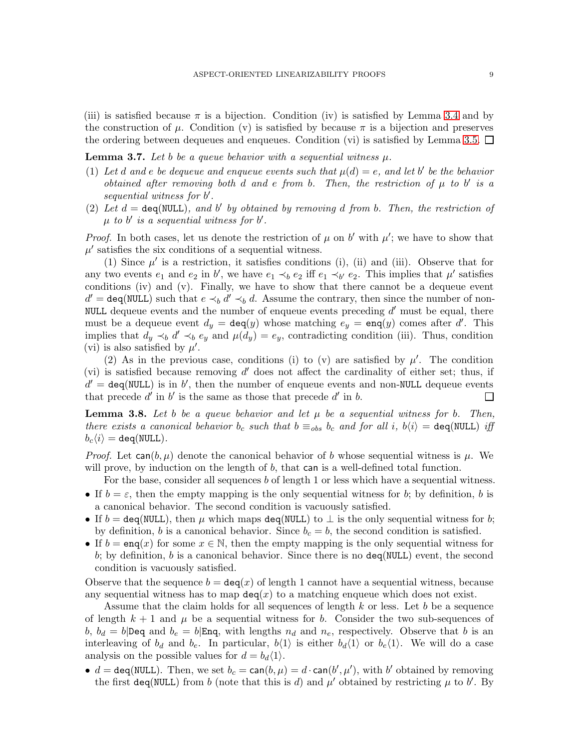(iii) is satisfied because  $\pi$  is a bijection. Condition (iv) is satisfied by Lemma [3.4](#page-7-1) and by the construction of  $\mu$ . Condition (v) is satisfied by because  $\pi$  is a bijection and preserves the ordering between dequeues and enqueues. Condition (vi) is satisfied by Lemma [3.5.](#page-7-0)  $\Box$ 

<span id="page-8-0"></span>**Lemma 3.7.** Let b be a queue behavior with a sequential witness  $\mu$ .

- (1) Let d and e be dequeue and enqueue events such that  $\mu(d) = e$ , and let b' be the behavior obtained after removing both  $d$  and  $e$  from  $b$ . Then, the restriction of  $\mu$  to  $b'$  is a sequential witness for b'.
- (2) Let  $d = \text{deg}(\text{NULL})$ , and b' by obtained by removing d from b. Then, the restriction of  $\mu$  to b' is a sequential witness for b'.

*Proof.* In both cases, let us denote the restriction of  $\mu$  on b' with  $\mu'$ ; we have to show that  $\mu'$  satisfies the six conditions of a sequential witness.

(1) Since  $\mu'$  is a restriction, it satisfies conditions (i), (ii) and (iii). Observe that for any two events  $e_1$  and  $e_2$  in b', we have  $e_1 \prec_b e_2$  iff  $e_1 \prec_{b'} e_2$ . This implies that  $\mu'$  satisfies conditions (iv) and (v). Finally, we have to show that there cannot be a dequeue event  $d' = \text{deg}(\text{NULL})$  such that  $e \prec_b d' \prec_b d$ . Assume the contrary, then since the number of non-NULL dequeue events and the number of enqueue events preceding  $d'$  must be equal, there must be a dequeue event  $d_y = \text{deg}(y)$  whose matching  $e_y = \text{eng}(y)$  comes after d'. This implies that  $d_y \prec_b d' \prec_b e_y$  and  $\mu(d_y) = e_y$ , contradicting condition (iii). Thus, condition (vi) is also satisfied by  $\mu'$ .

(2) As in the previous case, conditions (i) to (v) are satisfied by  $\mu'$ . The condition (vi) is satisfied because removing  $d'$  does not affect the cardinality of either set; thus, if  $d' = \text{deg}(\text{NULL})$  is in b', then the number of enqueue events and non-NULL dequeue events that precede  $d'$  in  $b'$  is the same as those that precede  $d'$  in  $b$ .  $\Box$ 

<span id="page-8-1"></span>**Lemma 3.8.** Let b be a queue behavior and let  $\mu$  be a sequential witness for b. Then, there exists a canonical behavior  $b_c$  such that  $b \equiv_{obs} b_c$  and for all i,  $b\langle i \rangle = \text{deg}(\text{NULL})$  iff  $b_c\langle i \rangle = \texttt{deg}(\texttt{NULL}).$ 

*Proof.* Let  $\text{can}(b, \mu)$  denote the canonical behavior of b whose sequential witness is  $\mu$ . We will prove, by induction on the length of  $b$ , that can is a well-defined total function.

For the base, consider all sequences b of length 1 or less which have a sequential witness.

- If  $b = \varepsilon$ , then the empty mapping is the only sequential witness for b; by definition, b is a canonical behavior. The second condition is vacuously satisfied.
- If  $b = \text{deg}(\text{NULL})$ , then  $\mu$  which maps  $\text{deg}(\text{NULL})$  to  $\bot$  is the only sequential witness for b; by definition, b is a canonical behavior. Since  $b_c = b$ , the second condition is satisfied.
- If  $b = \text{eng}(x)$  for some  $x \in \mathbb{N}$ , then the empty mapping is the only sequential witness for b; by definition, b is a canonical behavior. Since there is no  $\text{deg}(\text{NULL})$  event, the second condition is vacuously satisfied.

Observe that the sequence  $b = \text{deg}(x)$  of length 1 cannot have a sequential witness, because any sequential witness has to map  $deg(x)$  to a matching enqueue which does not exist.

Assume that the claim holds for all sequences of length  $k$  or less. Let  $b$  be a sequence of length  $k + 1$  and  $\mu$  be a sequential witness for b. Consider the two sub-sequences of  $b, b_d = b|\text{Deg} \text{ and } b_e = b|\text{Eng}, \text{ with lengths } n_d \text{ and } n_e, \text{ respectively. Observe that } b \text{ is an }$ interleaving of  $b_d$  and  $b_e$ . In particular,  $b\langle 1 \rangle$  is either  $b_d\langle 1 \rangle$  or  $b_e\langle 1 \rangle$ . We will do a case analysis on the possible values for  $d = b_d \langle 1 \rangle$ .

•  $d = \text{deg}(\text{NULL})$ . Then, we set  $b_c = \text{can}(b, \mu) = d \cdot \text{can}(b', \mu')$ , with b' obtained by removing the first deq(NULL) from b (note that this is d) and  $\mu'$  obtained by restricting  $\mu$  to b'. By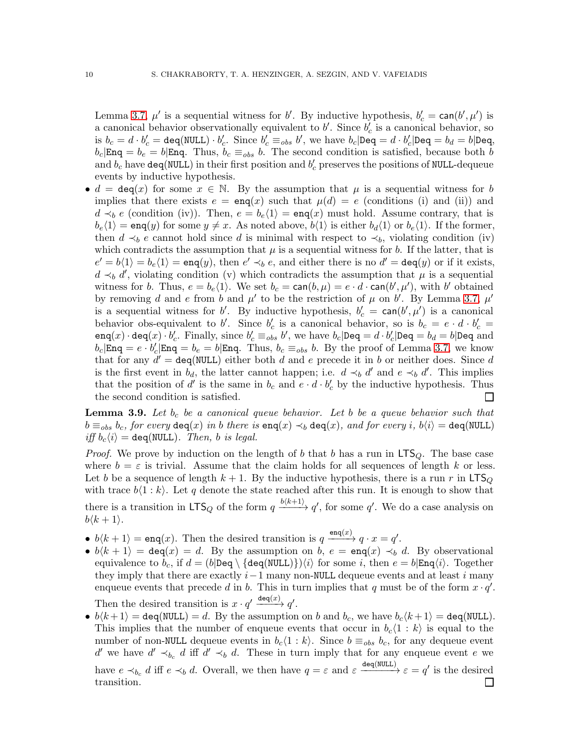Lemma [3.7,](#page-8-0)  $\mu'$  is a sequential witness for b'. By inductive hypothesis,  $b'_c = \text{can}(b', \mu')$  is a canonical behavior observationally equivalent to  $b'$ . Since  $b'_{c}$  is a canonical behavior, so is  $b_c = d \cdot b'_c = \texttt{deg}(\texttt{NULL}) \cdot b'_c$ . Since  $b'_c \equiv_{obs} b'$ , we have  $b_c | \texttt{Deg} = d \cdot b'_c | \texttt{Deg} = b_d = b | \texttt{Deg}$ ,  $b_c|$ Enq =  $b_e = b|$ Enq. Thus,  $b_c \equiv_{obs} b$ . The second condition is satisfied, because both  $\overline{b}$ and  $b_c$  have  $\mathtt{deg}(\texttt{NULL})$  in their first position and  $b'_c$  preserves the positions of NULL-dequeue events by inductive hypothesis.

•  $d = \text{deg}(x)$  for some  $x \in \mathbb{N}$ . By the assumption that  $\mu$  is a sequential witness for b implies that there exists  $e = \text{enq}(x)$  such that  $\mu(d) = e$  (conditions (i) and (ii)) and  $d \prec_b e$  (condition (iv)). Then,  $e = b_e(1) = \text{enq}(x)$  must hold. Assume contrary, that is  $b_e\langle 1 \rangle = \text{enq}(y)$  for some  $y \neq x$ . As noted above,  $b\langle 1 \rangle$  is either  $b_d\langle 1 \rangle$  or  $b_e\langle 1 \rangle$ . If the former, then  $d \prec_b e$  cannot hold since d is minimal with respect to  $\prec_b$ , violating condition (iv) which contradicts the assumption that  $\mu$  is a sequential witness for b. If the latter, that is  $e' = b(1) = b_e(1) = \text{enq}(y)$ , then  $e' \prec_b e$ , and either there is no  $d' = \text{deg}(y)$  or if it exists,  $d \prec_b d'$ , violating condition (v) which contradicts the assumption that  $\mu$  is a sequential witness for b. Thus,  $e = b_e \langle 1 \rangle$ . We set  $b_c = \text{can}(b, \mu) = e \cdot d \cdot \text{can}(b', \mu')$ , with b' obtained by removing d and e from b and  $\mu'$  to be the restriction of  $\mu$  on b'. By Lemma [3.7,](#page-8-0)  $\mu'$ is a sequential witness for b'. By inductive hypothesis,  $b'_c = \text{can}(b', \mu')$  is a canonical behavior obs-equivalent to b'. Since  $b'_c$  is a canonical behavior, so is  $b_c = e \cdot d \cdot b'_c =$  $\texttt{eng}(x) \cdot \texttt{deg}(x) \cdot b'_{c}$ . Finally, since  $b'_{c} \equiv_{obs} b'$ , we have  $b_{c}|\texttt{Deg}=d \cdot b'_{c}|\texttt{Deg}=b_{d}=b|\texttt{Deg}$  and  $b_c|\text{Eng} = e \cdot b_c'|\text{Eng} = b_e = b|\text{Eng}$ . Thus,  $b_c \equiv_{obs} b$ . By the proof of Lemma [3.7,](#page-8-0) we know that for any  $d' = \text{deg}(\text{NULL})$  either both d and e precede it in b or neither does. Since d is the first event in  $b_d$ , the latter cannot happen; i.e.  $d \prec_b d'$  and  $e \prec_b d'$ . This implies that the position of d' is the same in  $b_c$  and  $e \cdot d \cdot b_c'$  by the inductive hypothesis. Thus the second condition is satisfied.  $\Box$ 

<span id="page-9-0"></span>**Lemma 3.9.** Let  $b_c$  be a canonical queue behavior. Let b be a queue behavior such that  $b \equiv_{obs} b_c$ , for every  $\texttt{deg}(x)$  in b there is  $\texttt{eng}(x) \prec_b \texttt{deg}(x)$ , and for every i,  $b\langle i \rangle = \texttt{deg}(\texttt{NULL})$ iff  $b_c\langle i \rangle =$  deq(NULL). Then, b is legal.

*Proof.* We prove by induction on the length of b that b has a run in  $LTS_Q$ . The base case where  $b = \varepsilon$  is trivial. Assume that the claim holds for all sequences of length k or less. Let b be a sequence of length  $k + 1$ . By the inductive hypothesis, there is a run r in LTS<sub>Q</sub> with trace  $b\langle 1 : k \rangle$ . Let q denote the state reached after this run. It is enough to show that there is a transition in  $LTS_Q$  of the form  $q \xrightarrow{b(k+1)} q'$ , for some q'. We do a case analysis on  $b\langle k+1\rangle$ .

- $b\langle k+1 \rangle = \text{enq}(x)$ . Then the desired transition is  $q \xrightarrow{\text{enq}(x)} q \cdot x = q'$ .
- $b\langle k+1\rangle = \text{deg}(x) = d$ . By the assumption on b,  $e = \text{eng}(x) \prec_b d$ . By observational equivalence to  $b_c$ , if  $d = (b|\text{Deg} \setminus \{\text{deg}(\text{NULL})\})\langle i \rangle$  for some i, then  $e = b|\text{Eng}(i)$ . Together they imply that there are exactly  $i-1$  many non-NULL dequeue events and at least i many enqueue events that precede d in b. This in turn implies that q must be of the form  $x \cdot q'$ . Then the desired transition is  $x \cdot q' \xrightarrow{\text{deg}(x)} q'$ .
- $b\langle k+1 \rangle = \text{deg}(\text{NULL}) = d$ . By the assumption on b and  $b_c$ , we have  $b_c\langle k+1 \rangle = \text{deg}(\text{NULL})$ . This implies that the number of enqueue events that occur in  $b_c\langle 1 : k \rangle$  is equal to the number of non-NULL dequeue events in  $b_c\langle 1 : k \rangle$ . Since  $b \equiv_{obs} b_c$ , for any dequeue event d' we have  $d' \prec_{b_c} d$  iff  $d' \prec_b d$ . These in turn imply that for any enqueue event e we have  $e \prec_{b_c} d$  iff  $e \prec_b d$ . Overall, we then have  $q = \varepsilon$  and  $\varepsilon \xrightarrow{\text{deg}(\text{NULL})} \varepsilon = q'$  is the desired transition.ப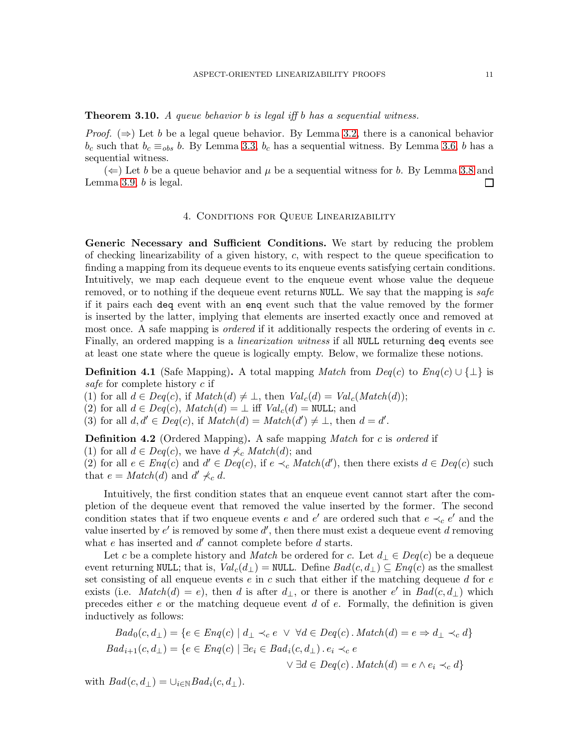<span id="page-10-1"></span>**Theorem 3.10.** A queue behavior b is legal iff b has a sequential witness.

*Proof.*  $(\Rightarrow)$  Let b be a legal queue behavior. By Lemma [3.2,](#page-6-0) there is a canonical behavior  $b_c$  such that  $b_c \equiv_{obs} b$ . By Lemma [3.3,](#page-6-1)  $b_c$  has a sequential witness. By Lemma [3.6,](#page-7-2) b has a sequential witness.

<span id="page-10-0"></span> $(\Leftarrow)$  Let b be a queue behavior and  $\mu$  be a sequential witness for b. By Lemma [3.8](#page-8-1) and Lemma [3.9,](#page-9-0) b is legal.  $\Box$ 

# 4. Conditions for Queue Linearizability

Generic Necessary and Sufficient Conditions. We start by reducing the problem of checking linearizability of a given history,  $c$ , with respect to the queue specification to finding a mapping from its dequeue events to its enqueue events satisfying certain conditions. Intuitively, we map each dequeue event to the enqueue event whose value the dequeue removed, or to nothing if the dequeue event returns NULL. We say that the mapping is safe if it pairs each deq event with an enq event such that the value removed by the former is inserted by the latter, implying that elements are inserted exactly once and removed at most once. A safe mapping is *ordered* if it additionally respects the ordering of events in c. Finally, an ordered mapping is a *linearization witness* if all NULL returning deq events see at least one state where the queue is logically empty. Below, we formalize these notions.

<span id="page-10-2"></span>**Definition 4.1** (Safe Mapping). A total mapping *Match* from  $Deg(c)$  to  $Eng(c) \cup {\perp}$  is safe for complete history c if

(1) for all  $d \in Deg(c)$ , if  $Match(d) \neq \bot$ , then  $Val_c(d) = Val_c(Match(d));$ 

(2) for all  $d \in Deq(c)$ ,  $Match(d) = \bot$  iff  $Val_c(d) = NULL$ ; and

(3) for all  $d, d' \in Deq(c)$ , if  $Match(d) = Match(d') \neq \bot$ , then  $d = d'$ .

**Definition 4.2** (Ordered Mapping). A safe mapping *Match* for c is ordered if

(1) for all  $d \in Deq(c)$ , we have  $d \nless c Match(d)$ ; and

(2) for all  $e \in Enq(c)$  and  $d' \in Deq(c)$ , if  $e \prec_c Match(d')$ , then there exists  $d \in Deq(c)$  such that  $e = Match(d)$  and  $d' \nless c d$ .

Intuitively, the first condition states that an enqueue event cannot start after the completion of the dequeue event that removed the value inserted by the former. The second condition states that if two enqueue events e and e' are ordered such that  $e \prec_c e'$  and the value inserted by  $e'$  is removed by some  $d'$ , then there must exist a dequeue event d removing what  $e$  has inserted and  $d'$  cannot complete before  $d$  starts.

Let c be a complete history and *Match* be ordered for c. Let  $d_{\perp} \in Deq(c)$  be a dequeue event returning NULL; that is,  $Val_c(d_{\perp}) =$  NULL. Define  $Bad(c, d_{\perp}) \subseteq Eng(c)$  as the smallest set consisting of all enqueue events  $e$  in  $c$  such that either if the matching dequeue  $d$  for  $e$ exists (i.e.  $Match(d) = e$ ), then d is after  $d_{\perp}$ , or there is another e' in  $Bad(c, d_{\perp})$  which precedes either  $e$  or the matching dequeue event  $d$  of  $e$ . Formally, the definition is given inductively as follows:

$$
Bad_0(c, d_\perp) = \{ e \in Eng(c) \mid d_\perp \prec_c e \ \lor \ \forall d \in Deg(c) \ . \ Match(d) = e \Rightarrow d_\perp \prec_c d \}
$$
  

$$
Bad_{i+1}(c, d_\perp) = \{ e \in Eng(c) \mid \exists e_i \in Bad_i(c, d_\perp) \ . \ e_i \prec_c e
$$
  

$$
\lor \exists d \in Deg(c) \ . \ Match(d) = e \land e_i \prec_c d \}
$$

with  $Bad(c, d_{\perp}) = \bigcup_{i \in \mathbb{N}} Bad_i(c, d_{\perp}).$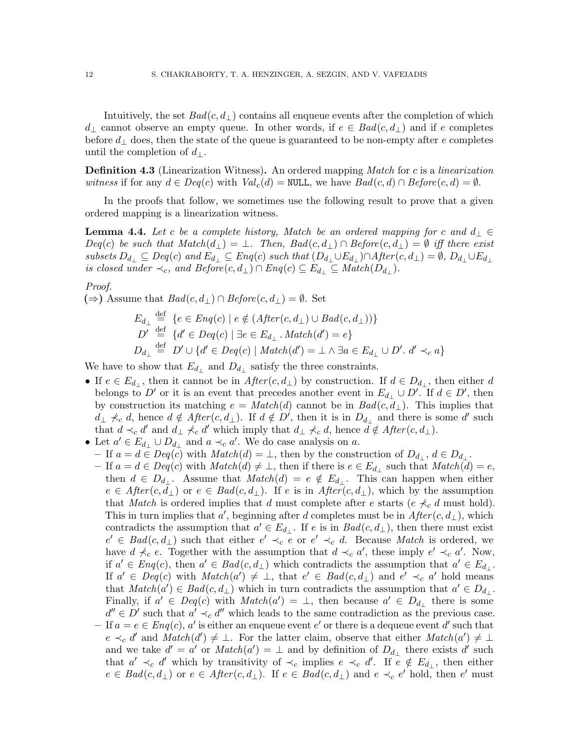Intuitively, the set  $Bad(c, d_{\perp})$  contains all enqueue events after the completion of which  $d_{\perp}$  cannot observe an empty queue. In other words, if  $e \in \text{Bad}(c, d_{\perp})$  and if e completes before  $d_{\perp}$  does, then the state of the queue is guaranteed to be non-empty after e completes until the completion of  $d_{\perp}$ .

**Definition 4.3** (Linearization Witness). An ordered mapping *Match* for c is a *linearization* witness if for any  $d \in Deq(c)$  with  $Val_c(d) = \text{NULL}$ , we have  $Bad(c, d) \cap Before(c, d) = \emptyset$ .

In the proofs that follow, we sometimes use the following result to prove that a given ordered mapping is a linearization witness.

<span id="page-11-0"></span>**Lemma 4.4.** Let c be a complete history, Match be an ordered mapping for c and  $d_{\perp} \in$  $Deg(c)$  be such that  $Match(d_{\perp}) = \perp$ . Then,  $Bad(c, d_{\perp}) \cap Before(c, d_{\perp}) = \emptyset$  iff there exist subsets  $D_{d_\perp} \subseteq Deq(c)$  and  $E_{d_\perp} \subseteq Enq(c)$  such that  $(D_{d_\perp} \cup E_{d_\perp}) \cap After(c,d_\perp) = \emptyset$ ,  $D_{d_\perp} \cup E_{d_\perp}$ is closed under  $\prec_c$ , and  $Before(c, d_\perp) \cap Enq(c) \subseteq E_{d_\perp} \subseteq Match(D_{d_\perp}).$ 

# Proof.

 $(\Rightarrow)$  Assume that  $Bad(c, d_{\perp}) \cap Before(c, d_{\perp}) = \emptyset$ . Set

$$
E_{d_{\perp}} \stackrel{\text{def}}{=} \{e \in Enq(c) \mid e \notin (After(c, d_{\perp}) \cup Bad(c, d_{\perp}))\}
$$
  

$$
D' \stackrel{\text{def}}{=} \{d' \in Deq(c) \mid \exists e \in E_{d_{\perp}} \cdot Match(d') = e\}
$$
  

$$
D_{d_{\perp}} \stackrel{\text{def}}{=} D' \cup \{d' \in Deq(c) \mid Match(d') = \perp \land \exists a \in E_{d_{\perp}} \cup D'. d' \prec_c a\}
$$

We have to show that  $E_{d_{\perp}}$  and  $D_{d_{\perp}}$  satisfy the three constraints.

- If  $e \in E_{d_{\perp}}$ , then it cannot be in  $After(c, d_{\perp})$  by construction. If  $d \in D_{d_{\perp}}$ , then either d belongs to D' or it is an event that precedes another event in  $E_{d_{\perp}} \cup D'$ . If  $d \in D'$ , then by construction its matching  $e = Match(d)$  cannot be in  $Bad(c, d_{\perp})$ . This implies that  $d_{\perp} \nprec_c d$ , hence  $d \notin After(c, d_{\perp})$ . If  $d \notin D'$ , then it is in  $D_{d_{\perp}}$  and there is some d' such that  $d \prec_c d'$  and  $d_\perp \not\prec_c d'$  which imply that  $d_\perp \not\prec_c d$ , hence  $\overline{d} \notin After(c, d_\perp)$ .
- Let  $a' \in E_{d_{\perp}} \cup D_{d_{\perp}}$  and  $a \prec_c a'$ . We do case analysis on a.
- If  $a = d \in Deq(c)$  with  $Match(d) = \bot$ , then by the construction of  $D_{d_{\perp}}$ ,  $d \in D_{d_{\perp}}$ .
- $-$  If  $a = d \in Deq(c)$  with  $Match(d) \neq \bot$ , then if there is  $e \in E_{d_{\bot}}$  such that  $Match(d) = e$ , then  $d \in D_{d_{\perp}}$ . Assume that  $Match(d) = e \notin E_{d_{\perp}}$ . This can happen when either  $e \in After(c, d_{\perp})$  or  $e \in Bad(c, d_{\perp}).$  If e is in  $After(c, d_{\perp}),$  which by the assumption that Match is ordered implies that d must complete after e starts (e  $\not\prec_c d$  must hold). This in turn implies that  $a'$ , beginning after d completes must be in  $After(c, d<sub>⊥</sub>)$ , which contradicts the assumption that  $a' \in E_{d_{\perp}}$ . If e is in  $Bad(c, d_{\perp})$ , then there must exist  $e' \in Bad(c, d_{\perp})$  such that either  $e' \prec_c \overline{e}$  or  $e' \prec_c d$ . Because Match is ordered, we have  $d \nless_c e$ . Together with the assumption that  $d \prec_c a'$ , these imply  $e' \prec_c a'$ . Now, if  $a' \in \text{Eng}(c)$ , then  $a' \in \text{Bad}(c, d_{\perp})$  which contradicts the assumption that  $a' \in E_{d_{\perp}}$ . If  $a' \in \text{Deg}(c)$  with  $\text{Match}(a') \neq \bot$ , that  $e' \in \text{Bad}(c, d_{\bot})$  and  $e' \prec_c a'$  hold means that  $Match(a') \in Bad(c, d_{\perp})$  which in turn contradicts the assumption that  $a' \in D_{d_{\perp}}$ . Finally, if  $a' \in Deq(c)$  with  $Match(a') = \perp$ , then because  $a' \in D_{d_{\perp}}$  there is some  $d'' \in D'$  such that  $a' \prec_c d''$  which leads to the same contradiction as the previous case.  $-I$  is  $\epsilon \in \mathit{Eng}(c)$ , a' is either an enqueue event e' or there is a dequeue event d' such that  $e \prec_c d'$  and  $Match(d') \neq \bot$ . For the latter claim, observe that either  $Match(a') \neq \bot$ and we take  $d' = a'$  or  $Match(a') = \perp$  and by definition of  $D_{d_{\perp}}$  there exists d' such that  $a' \prec_c d'$  which by transitivity of  $\prec_c$  implies  $e \prec_c d'$ . If  $\overline{e} \notin E_{d_{\perp}}$ , then either  $e \in Bad(c, d_{\perp})$  or  $e \in After(c, d_{\perp})$ . If  $e \in Bad(c, d_{\perp})$  and  $e \prec_c e'$  hold, then  $e'$  must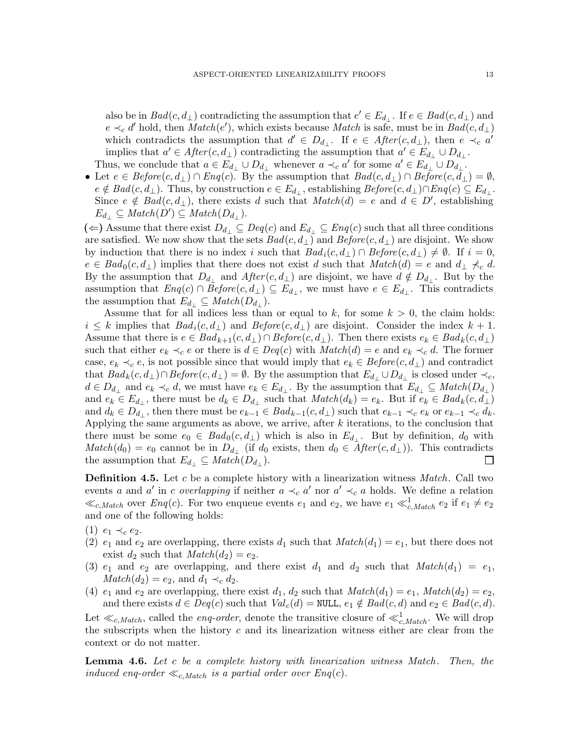also be in  $Bad(c, d_{\perp})$  contradicting the assumption that  $e' \in E_{d_{\perp}}$ . If  $e \in Bad(c, d_{\perp})$  and  $e \prec_c d'$  hold, then  $Match(e'),$  which exists because  $Match$  is safe, must be in  $Bad(c, d_{\perp})$ which contradicts the assumption that  $d' \in D_{d_{\perp}}$ . If  $e \in After(c, d_{\perp})$ , then  $e \prec_c a'$ implies that  $a' \in After(c, d_\perp)$  contradicting the assumption that  $a' \in E_{d_\perp} \cup D_{d_\perp}$ . Thus, we conclude that  $a \in E_{d_\perp} \cup D_{d_\perp}$  whenever  $a \prec_c a'$  for some  $a' \in E_{d_\perp} \cup D_{d_\perp}$ .

• Let  $e \in \text{Before}(c, d_\perp) \cap \text{Eng}(c)$ . By the assumption that  $\text{Bad}(c, d_\perp) \cap \text{Before}(c, d_\perp) = \emptyset$ ,  $e \notin Bad(c, d_\perp)$ . Thus, by construction  $e \in E_{d_\perp}$ , establishing  $Before(c, d_\perp) \cap Eng(c) \subseteq E_{d_\perp}$ . Since  $e \notin \text{Bad}(c, d_\perp)$ , there exists d such that  $\text{Match}(d) = e$  and  $d \in D'$ , establishing  $E_{d_{\perp}} \subseteq Match(D') \subseteq Match(D_{d_{\perp}}).$ 

(←) Assume that there exist  $D_{d_+} \subseteq Deq(c)$  and  $E_{d_+} \subseteq Enq(c)$  such that all three conditions are satisfied. We now show that the sets  $Bad(c, d_{\perp})$  and  $Before(c, d_{\perp})$  are disjoint. We show by induction that there is no index i such that  $Bad_i(c, d_\perp) \cap Before(c, d_\perp) \neq \emptyset$ . If  $i = 0$ ,  $e \in Bad_0(c, d_\perp)$  implies that there does not exist d such that  $Match(d) = e$  and  $d_\perp \nless c d$ . By the assumption that  $D_{d_{\perp}}$  and  $After(c, d_{\perp})$  are disjoint, we have  $d \notin D_{d_{\perp}}$ . But by the assumption that  $Eng(c) \cap Before(c, d_{\perp}) \subseteq E_{d_{\perp}}$ , we must have  $e \in E_{d_{\perp}}$ . This contradicts the assumption that  $E_{d_{\perp}} \subseteq Match(D_{d_{\perp}})$ .

Assume that for all indices less than or equal to k, for some  $k > 0$ , the claim holds:  $i \leq k$  implies that  $Bad_i(c, d_{\perp})$  and  $Before(c, d_{\perp})$  are disjoint. Consider the index  $k + 1$ . Assume that there is  $e \in Bad_{k+1}(c, d_\perp) \cap Before(c, d_\perp)$ . Then there exists  $e_k \in Bad_k(c, d_\perp)$ such that either  $e_k \prec_c e$  or there is  $d \in Deq(c)$  with  $Match(d) = e$  and  $e_k \prec_c d$ . The former case,  $e_k \prec_c e$ , is not possible since that would imply that  $e_k \in \text{Before}(c, d_\perp)$  and contradict that  $Bad_k(c, d_\perp) \cap Before(c, d_\perp) = \emptyset$ . By the assumption that  $E_{d_\perp} \cup D_{d_\perp}$  is closed under  $\prec_c$ ,  $d \in D_{d_{\perp}}$  and  $e_k \prec_c d$ , we must have  $e_k \in E_{d_{\perp}}$ . By the assumption that  $E_{d_{\perp}} \subseteq Match(D_{d_{\perp}})$ and  $e_k \in E_{d_\perp}$ , there must be  $d_k \in D_{d_\perp}$  such that  $Match(d_k) = e_k$ . But if  $e_k \in Bad_k(c, d_\perp)$ and  $d_k \in D_{d_\perp}$ , then there must be  $e_{k-1} \in Bad_{k-1}(c, d_\perp)$  such that  $e_{k-1} \prec_c e_k$  or  $e_{k-1} \prec_c d_k$ . Applying the same arguments as above, we arrive, after  $k$  iterations, to the conclusion that there must be some  $e_0 \in \text{Bad}_0(c, d_\perp)$  which is also in  $E_{d_\perp}$ . But by definition,  $d_0$  with  $Match(d_0) = e_0$  cannot be in  $D_{d_{\perp}}$  (if  $d_0$  exists, then  $d_0 \in After(c, d_{\perp})$ ). This contradicts the assumption that  $E_{d_{\perp}} \subseteq Match(D_{d_{\perp}})$ .  $\Box$ 

**Definition 4.5.** Let c be a complete history with a linearization witness  $Match$ . Call two events a and a' in c overlapping if neither  $a \prec_c a'$  nor  $a' \prec_c a$  holds. We define a relation  $\ll_{c, Match}$  over  $Eng(c)$ . For two enqueue events  $e_1$  and  $e_2$ , we have  $e_1 \ll_{c, Match}^1 e_2$  if  $e_1 \neq e_2$ and one of the following holds:

- (1)  $e_1 \prec_c e_2$ .
- (2)  $e_1$  and  $e_2$  are overlapping, there exists  $d_1$  such that  $Match(d_1) = e_1$ , but there does not exist  $d_2$  such that  $Match(d_2) = e_2$ .
- (3)  $e_1$  and  $e_2$  are overlapping, and there exist  $d_1$  and  $d_2$  such that  $Match(d_1) = e_1$ ,  $Match(d_2) = e_2$ , and  $d_1 \prec_c d_2$ .
- (4)  $e_1$  and  $e_2$  are overlapping, there exist  $d_1$ ,  $d_2$  such that  $Match(d_1) = e_1$ ,  $Match(d_2) = e_2$ , and there exists  $d \in Deq(c)$  such that  $Val_c(d) = NULL$ ,  $e_1 \notin Bad(c, d)$  and  $e_2 \in Bad(c, d)$ .

Let  $\ll_{c, Match}$ , called the *enq-order*, denote the transitive closure of  $\ll_{c, Match}^1$ . We will drop the subscripts when the history  $c$  and its linearization witness either are clear from the context or do not matter.

**Lemma 4.6.** Let  $c$  be a complete history with linearization witness Match. Then, the induced enq-order  $\ll_{c,Match}$  is a partial order over  $Eng(c)$ .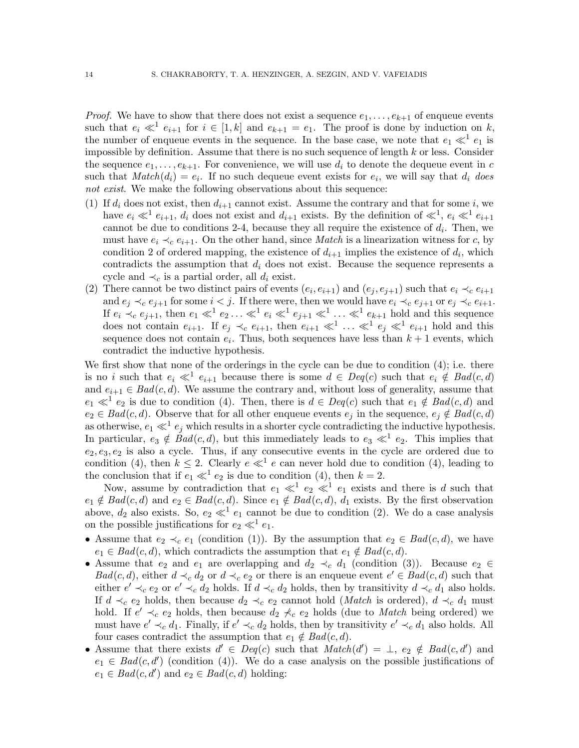*Proof.* We have to show that there does not exist a sequence  $e_1, \ldots, e_{k+1}$  of enqueue events such that  $e_i \ll^1 e_{i+1}$  for  $i \in [1, k]$  and  $e_{k+1} = e_1$ . The proof is done by induction on k, the number of enqueue events in the sequence. In the base case, we note that  $e_1 \ll^1 e_1$  is impossible by definition. Assume that there is no such sequence of length  $k$  or less. Consider the sequence  $e_1, \ldots, e_{k+1}$ . For convenience, we will use  $d_i$  to denote the dequeue event in c such that  $Match(d_i) = e_i$ . If no such dequeue event exists for  $e_i$ , we will say that  $d_i$  does not exist. We make the following observations about this sequence:

- (1) If  $d_i$  does not exist, then  $d_{i+1}$  cannot exist. Assume the contrary and that for some i, we have  $e_i \ll^1 e_{i+1}$ ,  $d_i$  does not exist and  $d_{i+1}$  exists. By the definition of  $\ll^1$ ,  $e_i \ll^1 e_{i+1}$ cannot be due to conditions 2-4, because they all require the existence of  $d_i$ . Then, we must have  $e_i \prec_c e_{i+1}$ . On the other hand, since *Match* is a linearization witness for c, by condition 2 of ordered mapping, the existence of  $d_{i+1}$  implies the existence of  $d_i$ , which contradicts the assumption that  $d_i$  does not exist. Because the sequence represents a cycle and  $\prec_c$  is a partial order, all  $d_i$  exist.
- (2) There cannot be two distinct pairs of events  $(e_i, e_{i+1})$  and  $(e_j, e_{j+1})$  such that  $e_i \prec_c e_{i+1}$ and  $e_i \prec_c e_{i+1}$  for some  $i < j$ . If there were, then we would have  $e_i \prec_c e_{j+1}$  or  $e_j \prec_c e_{i+1}$ . If  $e_i \prec_c e_{j+1}$ , then  $e_1 \ll^1 e_2 \ldots \ll^1 e_i \ll^1 e_{j+1} \ll^1 \ldots \ll^1 e_{k+1}$  hold and this sequence does not contain  $e_{i+1}$ . If  $e_j \prec_c e_{i+1}$ , then  $e_{i+1} \ll^1 \ldots \ll^1 e_j \ll^1 e_{i+1}$  hold and this sequence does not contain  $e_i$ . Thus, both sequences have less than  $k+1$  events, which contradict the inductive hypothesis.

We first show that none of the orderings in the cycle can be due to condition  $(4)$ ; i.e. there is no *i* such that  $e_i \ll^1 e_{i+1}$  because there is some  $d \in Deq(c)$  such that  $e_i \notin Bad(c, d)$ and  $e_{i+1} \in Bad(c, d)$ . We assume the contrary and, without loss of generality, assume that  $e_1 \ll^1 e_2$  is due to condition (4). Then, there is  $d \in Deq(c)$  such that  $e_1 \notin Bad(c, d)$  and  $e_2 \in Bad(c, d)$ . Observe that for all other enqueue events  $e_j$  in the sequence,  $e_j \notin Bad(c, d)$ as otherwise,  $e_1 \ll^1 e_j$  which results in a shorter cycle contradicting the inductive hypothesis. In particular,  $e_3 \notin \text{Bad}(c, d)$ , but this immediately leads to  $e_3 \ll^1 e_2$ . This implies that  $e_2, e_3, e_2$  is also a cycle. Thus, if any consecutive events in the cycle are ordered due to condition (4), then  $k \leq 2$ . Clearly  $e \ll^1 e$  can never hold due to condition (4), leading to the conclusion that if  $e_1 \ll^1 e_2$  is due to condition (4), then  $k = 2$ .

Now, assume by contradiction that  $e_1 \ll^1 e_2 \ll^1 e_1$  exists and there is d such that  $e_1 \notin Bad(c, d)$  and  $e_2 \in Bad(c, d)$ . Since  $e_1 \notin Bad(c, d)$ ,  $d_1$  exists. By the first observation above,  $d_2$  also exists. So,  $e_2 \ll^1 e_1$  cannot be due to condition (2). We do a case analysis on the possible justifications for  $e_2 \ll^1 e_1$ .

- Assume that  $e_2 \prec_c e_1$  (condition (1)). By the assumption that  $e_2 \in Bad(c, d)$ , we have  $e_1 \in Bad(c, d)$ , which contradicts the assumption that  $e_1 \notin Bad(c, d)$ .
- Assume that  $e_2$  and  $e_1$  are overlapping and  $d_2 \prec_c d_1$  (condition (3)). Because  $e_2 \in$  $Bad(c, d)$ , either  $d \prec_c d_2$  or  $d \prec_c e_2$  or there is an enqueue event  $e' \in Bad(c, d)$  such that either  $e' \prec_c e_2$  or  $e' \prec_c d_2$  holds. If  $d \prec_c d_2$  holds, then by transitivity  $d \prec_c d_1$  also holds. If  $d \prec_c e_2$  holds, then because  $d_2 \prec_c e_2$  cannot hold (*Match* is ordered),  $d \prec_c d_1$  must hold. If  $e' \prec_c e_2$  holds, then because  $d_2 \not\prec_c e_2$  holds (due to *Match* being ordered) we must have  $e' \prec_c d_1$ . Finally, if  $e' \prec_c d_2$  holds, then by transitivity  $e' \prec_c d_1$  also holds. All four cases contradict the assumption that  $e_1 \notin Bad(c, d)$ .
- Assume that there exists  $d' \in Deq(c)$  such that  $Match(d') = \perp, e_2 \notin Bad(c, d')$  and  $e_1 \in Bad(c, d')$  (condition (4)). We do a case analysis on the possible justifications of  $e_1 \in Bad(c, d')$  and  $e_2 \in Bad(c, d)$  holding: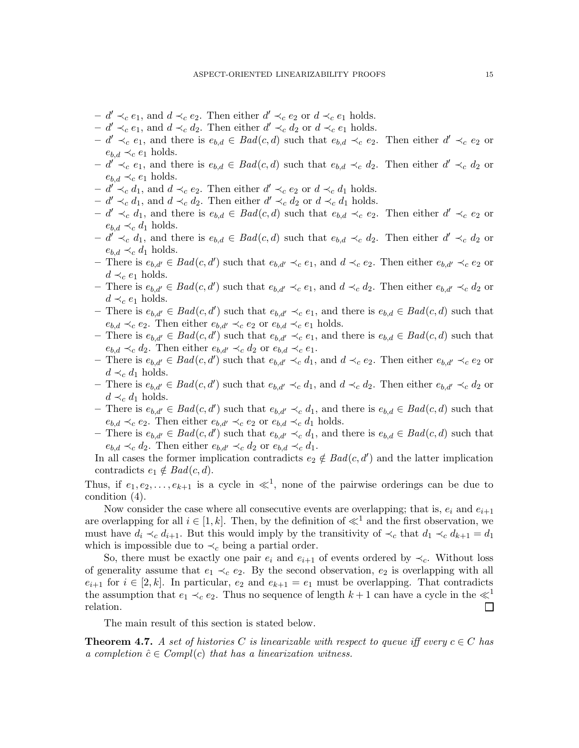- $d' \prec_c e_1$ , and  $d \prec_c e_2$ . Then either  $d' \prec_c e_2$  or  $d \prec_c e_1$  holds.
- $d' \prec_c e_1$ , and  $d \prec_c d_2$ . Then either  $d' \prec_c d_2$  or  $d \prec_c e_1$  holds.
- $d' \prec_c e_1$ , and there is  $e_{b,d} \in Bad(c,d)$  such that  $e_{b,d} \prec_c e_2$ . Then either  $d' \prec_c e_2$  or  $e_{b,d} \prec_c e_1$  holds.
- $-d' \prec_c e_1$ , and there is  $e_{b,d} \in Bad(c,d)$  such that  $e_{b,d} \prec_c d_2$ . Then either  $d' \prec_c d_2$  or  $e_{b,d} \prec_c e_1$  holds.
- $d' \prec_c d_1$ , and  $d \prec_c e_2$ . Then either  $d' \prec_c e_2$  or  $d \prec_c d_1$  holds.
- $d' \prec_c d_1$ , and  $d \prec_c d_2$ . Then either  $d' \prec_c d_2$  or  $d \prec_c d_1$  holds.
- $d' \prec_c d_1$ , and there is  $e_{b,d} \in Bad(c,d)$  such that  $e_{b,d} \prec_c e_2$ . Then either  $d' \prec_c e_2$  or  $e_{b,d} \prec_c d_1$  holds.
- $d' \prec_c d_1$ , and there is  $e_{b,d} \in Bad(c,d)$  such that  $e_{b,d} \prec_c d_2$ . Then either  $d' \prec_c d_2$  or  $e_{b,d} \prec_c d_1$  holds.
- There is  $e_{b,d'} \in Bad(c,d')$  such that  $e_{b,d'} \prec_c e_1$ , and  $d \prec_c e_2$ . Then either  $e_{b,d'} \prec_c e_2$  or  $d \prec_c e_1$  holds.
- There is  $e_{b,d'} \in Bad(c,d')$  such that  $e_{b,d'} \prec_c e_1$ , and  $d \prec_c d_2$ . Then either  $e_{b,d'} \prec_c d_2$  or  $d \prec_c e_1$  holds.
- There is  $e_{b,d'} \in Bad(c,d')$  such that  $e_{b,d'} \prec_c e_1$ , and there is  $e_{b,d} \in Bad(c,d)$  such that  $e_{b,d} \prec_c e_2$ . Then either  $e_{b,d'} \prec_c e_2$  or  $e_{b,d} \prec_c e_1$  holds.
- There is  $e_{b,d'} \in Bad(c,d')$  such that  $e_{b,d'} \prec_c e_1$ , and there is  $e_{b,d} \in Bad(c,d)$  such that  $e_{b,d} \prec_c d_2$ . Then either  $e_{b,d'} \prec_c d_2$  or  $e_{b,d} \prec_c e_1$ .
- There is  $e_{b,d'} \in Bad(c,d')$  such that  $e_{b,d'} \prec_c d_1$ , and  $d \prec_c e_2$ . Then either  $e_{b,d'} \prec_c e_2$  or  $d \prec_c d_1$  holds.
- There is  $e_{b,d'} \in Bad(c,d')$  such that  $e_{b,d'} \prec_c d_1$ , and  $d \prec_c d_2$ . Then either  $e_{b,d'} \prec_c d_2$  or  $d \prec_c d_1$  holds.
- There is  $e_{b,d'} \in Bad(c,d')$  such that  $e_{b,d'} \prec_c d_1$ , and there is  $e_{b,d} \in Bad(c,d)$  such that  $e_{b,d} \prec_c e_2$ . Then either  $e_{b,d'} \prec_c e_2$  or  $e_{b,d} \prec_c d_1$  holds.
- There is  $e_{b,d'} \in Bad(c,d')$  such that  $e_{b,d'} \prec_c d_1$ , and there is  $e_{b,d} \in Bad(c,d)$  such that  $e_{b,d} \prec_c d_2$ . Then either  $e_{b,d'} \prec_c d_2$  or  $e_{b,d} \prec_c d_1$ .

In all cases the former implication contradicts  $e_2 \notin Bad(c, d')$  and the latter implication contradicts  $e_1 \notin Bad(c, d)$ .

Thus, if  $e_1, e_2, \ldots, e_{k+1}$  is a cycle in  $\ll^1$ , none of the pairwise orderings can be due to condition (4).

Now consider the case where all consecutive events are overlapping; that is,  $e_i$  and  $e_{i+1}$ are overlapping for all  $i \in [1, k]$ . Then, by the definition of  $\ll^1$  and the first observation, we must have  $d_i \prec_c d_{i+1}$ . But this would imply by the transitivity of  $\prec_c$  that  $d_1 \prec_c d_{k+1} = d_1$ which is impossible due to  $\prec_c$  being a partial order.

So, there must be exactly one pair  $e_i$  and  $e_{i+1}$  of events ordered by  $\prec_c$ . Without loss of generality assume that  $e_1 \prec_c e_2$ . By the second observation,  $e_2$  is overlapping with all  $e_{i+1}$  for  $i \in [2, k]$ . In particular,  $e_2$  and  $e_{k+1} = e_1$  must be overlapping. That contradicts the assumption that  $e_1 \prec_c e_2$ . Thus no sequence of length  $k+1$  can have a cycle in the  $\ll^1$ relation.  $\Box$ 

The main result of this section is stated below.

<span id="page-14-0"></span>**Theorem 4.7.** A set of histories C is linearizable with respect to queue iff every  $c \in C$  has a completion  $\hat{c} \in Compl(c)$  that has a linearization witness.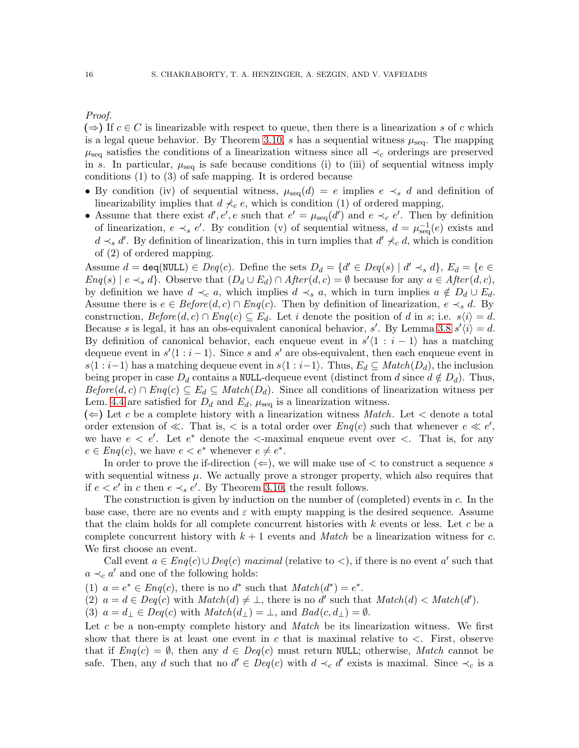# Proof.

 $(\Rightarrow)$  If  $c \in C$  is linearizable with respect to queue, then there is a linearization s of c which is a legal queue behavior. By Theorem [3.10,](#page-10-1) s has a sequential witness  $\mu_{\text{seq}}$ . The mapping  $\mu_{\text{seq}}$  satisfies the conditions of a linearization witness since all  $\prec_c$  orderings are preserved in s. In particular,  $\mu_{\text{seq}}$  is safe because conditions (i) to (iii) of sequential witness imply conditions (1) to (3) of safe mapping. It is ordered because

- By condition (iv) of sequential witness,  $\mu_{seq}(d) = e$  implies  $e \prec_s d$  and definition of linearizability implies that  $d \nless c$ , which is condition (1) of ordered mapping,
- Assume that there exist  $d', e', e$  such that  $e' = \mu_{seq}(d')$  and  $e \prec_c e'$ . Then by definition of linearization,  $e \prec_s e'$ . By condition (v) of sequential witness,  $d = \mu_{\text{seq}}^{-1}(e)$  exists and  $d \prec_s d'$ . By definition of linearization, this in turn implies that  $d' \nprec_c d$ , which is condition of (2) of ordered mapping.

Assume  $d = \text{deg}(\text{NULL}) \in Deq(c)$ . Define the sets  $D_d = \{d' \in Deq(s) \mid d' \prec_s d\}$ ,  $E_d = \{e \in$  $Eng(s) | e \prec_s d$ . Observe that  $(D_d \cup E_d) \cap After(d, c) = \emptyset$  because for any  $a \in After(d, c)$ , by definition we have  $d \prec_c a$ , which implies  $d \prec_s a$ , which in turn implies  $a \notin D_d \cup E_d$ . Assume there is  $e \in \text{Before}(d, c) \cap \text{Eng}(c)$ . Then by definition of linearization,  $e \prec_s d$ . By construction,  $Before(d, c) \cap Eng(c) \subseteq E_d$ . Let i denote the position of d in s; i.e.  $s\langle i \rangle = d$ . Because s is legal, it has an obs-equivalent canonical behavior, s'. By Lemma [3.8](#page-8-1)  $s'(i) = d$ . By definition of canonical behavior, each enqueue event in  $s'(1 : i - 1)$  has a matching dequeue event in  $s'(1:i-1)$ . Since s and s' are obs-equivalent, then each enqueue event in  $s\langle 1 : i-1 \rangle$  has a matching dequeue event in  $s\langle 1 : i-1 \rangle$ . Thus,  $E_d \subseteq Match(D_d)$ , the inclusion being proper in case  $D_d$  contains a NULL-dequeue event (distinct from d since  $d \notin D_d$ ). Thus,  $Before(d, c) \cap Eng(c) \subseteq E_d \subseteq Match(D_d)$ . Since all conditions of linearization witness per Lem. [4.4](#page-11-0) are satisfied for  $D_d$  and  $E_d$ ,  $\mu_{\text{seq}}$  is a linearization witness.

 $(\Leftarrow)$  Let c be a complete history with a linearization witness *Match*. Let  $\lt$  denote a total order extension of  $\ll$ . That is,  $\lt$  is a total order over  $Enq(c)$  such that whenever  $e \ll e'$ , we have  $e < e'$ . Let  $e^*$  denote the  $\lt$ -maximal enqueue event over  $\lt$ . That is, for any  $e \in \text{Eng}(c)$ , we have  $e < e^*$  whenever  $e \neq e^*$ .

In order to prove the if-direction  $(\Leftarrow)$ , we will make use of  $\lt$  to construct a sequence s with sequential witness  $\mu$ . We actually prove a stronger property, which also requires that if  $e < e'$  in c then  $e \prec_s e'$ . By Theorem [3.10,](#page-10-1) the result follows.

The construction is given by induction on the number of (completed) events in c. In the base case, there are no events and  $\varepsilon$  with empty mapping is the desired sequence. Assume that the claim holds for all complete concurrent histories with  $k$  events or less. Let  $c$  be a complete concurrent history with  $k + 1$  events and *Match* be a linearization witness for c. We first choose an event.

Call event  $a \in \text{Eng}(c) \cup \text{Deg}(c) \text{ maximal (relative to } <)$ , if there is no event a' such that  $a \prec_c a'$  and one of the following holds:

(1)  $a = e^* \in \text{Enq}(c)$ , there is no  $d^*$  such that  $\text{Match}(d^*) = e^*$ .

(2)  $a = d \in Deq(c)$  with  $Match(d) \neq \bot$ , there is no d' such that  $Match(d) < Match(d')$ .

(3)  $a = d_{\perp} \in Deq(c)$  with  $Match(d_{\perp}) = \perp$ , and  $Bad(c, d_{\perp}) = \emptyset$ .

Let c be a non-empty complete history and *Match* be its linearization witness. We first show that there is at least one event in  $c$  that is maximal relative to  $\lt$ . First, observe that if  $Eng(c) = \emptyset$ , then any  $d \in Deg(c)$  must return NULL; otherwise, Match cannot be safe. Then, any d such that no  $d' \in Deq(c)$  with  $d \prec_c d'$  exists is maximal. Since  $\prec_c$  is a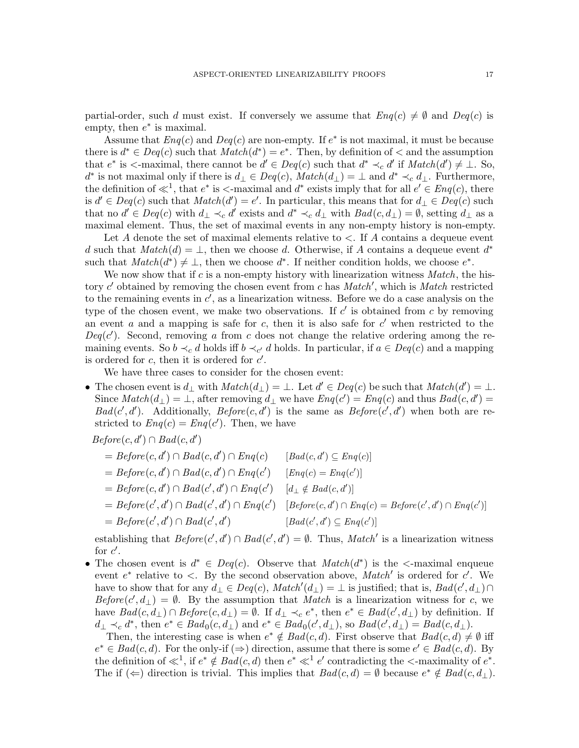partial-order, such d must exist. If conversely we assume that  $Enq(c) \neq \emptyset$  and  $Deg(c)$  is empty, then  $e^*$  is maximal.

Assume that  $Eng(c)$  and  $Deg(c)$  are non-empty. If  $e^*$  is not maximal, it must be because there is  $d^* \in Deg(c)$  such that  $Match(d^*) = e^*$ . Then, by definition of  $\lt$  and the assumption that  $e^*$  is  $\leq$ -maximal, there cannot be  $d' \in Deq(c)$  such that  $d^* \leq_c d'$  if  $Match(d') \neq \bot$ . So, d<sup>\*</sup> is not maximal only if there is  $d_{\perp} \in Deq(c)$ ,  $Match(d_{\perp}) = \perp$  and  $d^* \prec_c d_{\perp}$ . Furthermore, the definition of  $\ll^1$ , that  $e^*$  is  $\lt$ -maximal and  $d^*$  exists imply that for all  $e' \in \mathit{Eng}(c)$ , there is  $d' \in Deg(c)$  such that  $Match(d') = e'$ . In particular, this means that for  $d_{\perp} \in Deg(c)$  such that no  $d' \in Deq(c)$  with  $d_{\perp} \prec_c d'$  exists and  $d^* \prec_c d_{\perp}$  with  $Bad(c, d_{\perp}) = \emptyset$ , setting  $d_{\perp}$  as a maximal element. Thus, the set of maximal events in any non-empty history is non-empty.

Let A denote the set of maximal elements relative to  $\lt$ . If A contains a dequeue event d such that  $Match(d) = \perp$ , then we choose d. Otherwise, if A contains a dequeue event  $d^*$ such that  $Match(d^*) \neq \bot$ , then we choose  $d^*$ . If neither condition holds, we choose  $e^*$ .

We now show that if  $c$  is a non-empty history with linearization witness  $Match$ , the history  $c'$  obtained by removing the chosen event from  $c$  has  $Match'$ , which is  $Match$  restricted to the remaining events in  $c'$ , as a linearization witness. Before we do a case analysis on the type of the chosen event, we make two observations. If  $c'$  is obtained from c by removing an event  $a$  and a mapping is safe for  $c$ , then it is also safe for  $c'$  when restricted to the  $Deg(c')$ . Second, removing a from c does not change the relative ordering among the remaining events. So  $b \prec_c d$  holds iff  $b \prec_{c'} d$  holds. In particular, if  $a \in Deq(c)$  and a mapping is ordered for  $c$ , then it is ordered for  $c'$ .

We have three cases to consider for the chosen event:

• The chosen event is  $d_{\perp}$  with  $Match(d_{\perp}) = \perp$ . Let  $d' \in Deg(c)$  be such that  $Match(d') = \perp$ . Since  $Match(d_{\perp}) = \perp$ , after removing  $d_{\perp}$  we have  $Eng(c') = Eng(c)$  and thus  $Bad(c, d') =$  $Bad(c', d')$ . Additionally,  $Before(c, d')$  is the same as  $Before(c', d')$  when both are restricted to  $Eng(c) = Eng(c')$ . Then, we have

 $Before(c, d') \cap Bad(c, d')$ 

| $= Before(c, d') \cap Bad(c, d') \cap Eng(c)$    | $[Bad(c, d') \subseteq Eng(c)]$                             |
|--------------------------------------------------|-------------------------------------------------------------|
| $= Before(c, d') \cap Bad(c, d') \cap Eng(c')$   | $[Eng(c) = Eng(c')]$                                        |
| $= Before(c, d') \cap Bad(c', d') \cap Eng(c')$  | $[d_1 \notin Bad(c, d')]$                                   |
| $= Before(c', d') \cap Bad(c', d') \cap Eng(c')$ | $[Before(c, d') \cap Eng(c) = Before(c', d') \cap Eng(c')]$ |
| $= Before(c', d') \cap Bad(c', d')$              | $[Bad(c', d') \subseteq Eng(c')]$                           |
|                                                  |                                                             |

establishing that  $Before(c', d') \cap Bad(c', d') = \emptyset$ . Thus, Match' is a linearization witness for  $c'$ .

• The chosen event is  $d^* \in Deq(c)$ . Observe that  $Match(d^*)$  is the  $\leq$ -maximal enqueue event  $e^*$  relative to  $\lt$ . By the second observation above, Match' is ordered for c'. We have to show that for any  $d_{\perp} \in Deq(c)$ ,  $Match'(d_{\perp}) = \perp$  is justified; that is,  $Bad(c', d_{\perp}) \cap$  $Before(c', d_{\perp}) = \emptyset$ . By the assumption that Match is a linearization witness for c, we have  $Bad(c, d_{\perp}) \cap Before(c, d_{\perp}) = \emptyset$ . If  $d_{\perp} \prec_c e^*$ , then  $e^* \in Bad(c', d_{\perp})$  by definition. If  $d_{\perp} \prec_c d^*$ , then  $e^* \in \text{Bad}_0(c, d_{\perp})$  and  $e^* \in \text{Bad}_0(c', d_{\perp})$ , so  $\text{Bad}(c', d_{\perp}) = \text{Bad}(c, d_{\perp})$ .

Then, the interesting case is when  $e^* \notin Bad(c, d)$ . First observe that  $Bad(c, d) \neq \emptyset$  iff  $e^* \in Bad(c, d)$ . For the only-if  $(\Rightarrow)$  direction, assume that there is some  $e' \in Bad(c, d)$ . By the definition of  $\ll^1$ , if  $e^* \notin Bad(c, d)$  then  $e^* \ll^1 e'$  contradicting the  $\lt$ -maximality of  $e^*$ . The if  $(\Leftarrow)$  direction is trivial. This implies that  $Bad(c, d) = \emptyset$  because  $e^* \notin Bad(c, d_{\perp}).$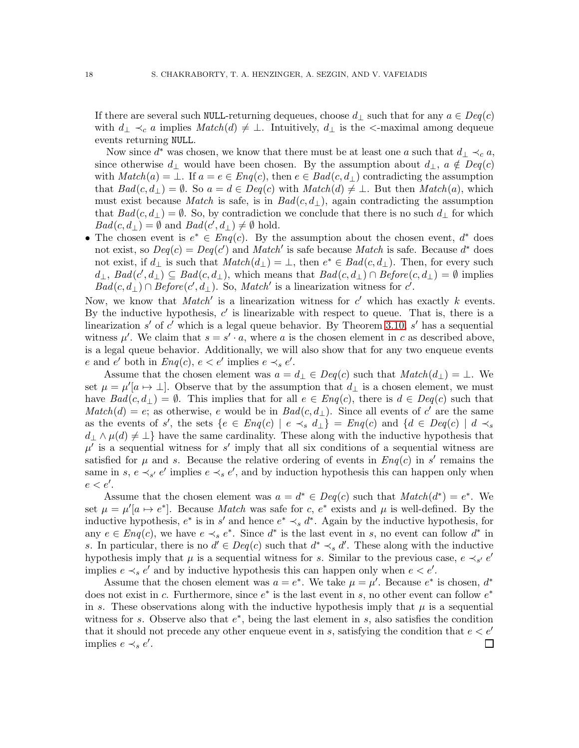If there are several such NULL-returning dequeues, choose  $d_{\perp}$  such that for any  $a \in Deq(c)$ with  $d_{\perp} \prec_c a$  implies  $Match(d) \neq \perp$ . Intuitively,  $d_{\perp}$  is the  $\prec$ -maximal among dequeue events returning NULL.

Now since  $d^*$  was chosen, we know that there must be at least one a such that  $d_{\perp} \prec_c a$ , since otherwise  $d_{\perp}$  would have been chosen. By the assumption about  $d_{\perp}$ ,  $a \notin Deq(c)$ with  $Match(a) = \bot$ . If  $a = e \in Eng(c)$ , then  $e \in Bad(c, d_{\perp})$  contradicting the assumption that  $Bad(c, d_{\perp}) = \emptyset$ . So  $a = d \in Deg(c)$  with  $Match(d) \neq \perp$ . But then  $Match(a)$ , which must exist because Match is safe, is in  $Bad(c, d_{\perp})$ , again contradicting the assumption that  $Bad(c, d_{\perp}) = \emptyset$ . So, by contradiction we conclude that there is no such  $d_{\perp}$  for which  $Bad(c, d<sub>\perp</sub>) = \emptyset$  and  $Bad(c', d<sub>\perp</sub>) \neq \emptyset$  hold.

• The chosen event is  $e^* \in \text{Enq}(c)$ . By the assumption about the chosen event,  $d^*$  does not exist, so  $Deg(c) = Deg(c')$  and  $Match'$  is safe because Match is safe. Because  $d^*$  does not exist, if  $d_{\perp}$  is such that  $Match(d_{\perp}) = \perp$ , then  $e^* \in Bad(c, d_{\perp})$ . Then, for every such  $d_{\perp}$ ,  $Bad(c', d_{\perp}) \subseteq Bad(c, d_{\perp})$ , which means that  $Bad(c, d_{\perp}) \cap Before(c, d_{\perp}) = \emptyset$  implies  $Bad(c, d<sub>⊥</sub>) \cap Before(c', d<sub>⊥</sub>)$ . So, Match' is a linearization witness for c'.

Now, we know that  $Match'$  is a linearization witness for  $c'$  which has exactly k events. By the inductive hypothesis,  $c'$  is linearizable with respect to queue. That is, there is a linearization  $s'$  of  $c'$  which is a legal queue behavior. By Theorem [3.10,](#page-10-1)  $s'$  has a sequential witness  $\mu'$ . We claim that  $s = s' \cdot a$ , where a is the chosen element in c as described above, is a legal queue behavior. Additionally, we will also show that for any two enqueue events e and e' both in  $Eng(c)$ ,  $e < e'$  implies  $e \prec_s e'$ .

Assume that the chosen element was  $a = d_{\perp} \in Deq(c)$  such that  $Match(d_{\perp}) = \perp$ . We set  $\mu = \mu' [a \mapsto \perp]$ . Observe that by the assumption that  $d_{\perp}$  is a chosen element, we must have  $Bad(c, d_{\perp}) = \emptyset$ . This implies that for all  $e \in Eng(c)$ , there is  $d \in Deg(c)$  such that  $Match(d) = e$ ; as otherwise, e would be in  $Bad(c, d_{\perp})$ . Since all events of c' are the same as the events of s', the sets  $\{e \in Enq(c) \mid e \prec_s d_{\perp}\}=Enq(c)$  and  $\{d \in Deq(c) \mid d \prec_s$  $d_{\perp} \wedge \mu(d) \neq \perp$  have the same cardinality. These along with the inductive hypothesis that  $\mu'$  is a sequential witness for s' imply that all six conditions of a sequential witness are satisfied for  $\mu$  and s. Because the relative ordering of events in  $Enq(c)$  in s' remains the same in s,  $e \prec_{s'} e'$  implies  $e \prec_s e'$ , and by induction hypothesis this can happen only when  $e < e'$ .

Assume that the chosen element was  $a = d^* \in Deq(c)$  such that  $Match(d^*) = e^*$ . We set  $\mu = \mu'[a \mapsto e^*]$ . Because *Match* was safe for c,  $e^*$  exists and  $\mu$  is well-defined. By the inductive hypothesis,  $e^*$  is in s' and hence  $e^* \prec_s d^*$ . Again by the inductive hypothesis, for any  $e \in \text{Eng}(c)$ , we have  $e \prec_s e^*$ . Since  $d^*$  is the last event in s, no event can follow  $d^*$  in s. In particular, there is no  $d' \in Deq(c)$  such that  $d^* \prec_s d'$ . These along with the inductive hypothesis imply that  $\mu$  is a sequential witness for s. Similar to the previous case,  $e \prec_{s'} e'$ implies  $e \prec_s e'$  and by inductive hypothesis this can happen only when  $e < e'$ .

Assume that the chosen element was  $a = e^*$ . We take  $\mu = \mu'$ . Because  $e^*$  is chosen,  $d^*$ does not exist in c. Furthermore, since  $e^*$  is the last event in s, no other event can follow  $e^*$ in s. These observations along with the inductive hypothesis imply that  $\mu$  is a sequential witness for s. Observe also that  $e^*$ , being the last element in s, also satisfies the condition that it should not precede any other enqueue event in s, satisfying the condition that  $e < e'$ implies  $e \prec_s e'$ .  $\Box$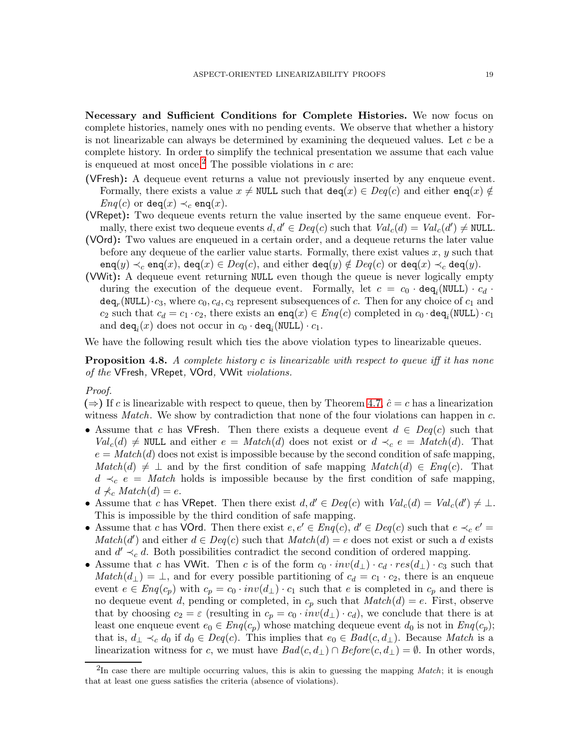Necessary and Sufficient Conditions for Complete Histories. We now focus on complete histories, namely ones with no pending events. We observe that whether a history is not linearizable can always be determined by examining the dequeued values. Let  $c$  be a complete history. In order to simplify the technical presentation we assume that each value is enqueued at most once.<sup>[2](#page-18-0)</sup> The possible violations in  $c$  are:

- (VFresh): A dequeue event returns a value not previously inserted by any enqueue event. Formally, there exists a value  $x \neq \text{NULL}$  such that  $\text{deg}(x) \in \text{Deg}(c)$  and either  $\text{eng}(x) \notin$  $Eng(c)$  or deq $(x) \prec_c \text{eng}(x)$ .
- (VRepet): Two dequeue events return the value inserted by the same enqueue event. Formally, there exist two dequeue events  $d, d' \in Deq(c)$  such that  $Val_c(d) = Val_c(d') \neq NULL$ .
- (VOrd): Two values are enqueued in a certain order, and a dequeue returns the later value before any dequeue of the earlier value starts. Formally, there exist values  $x, y$  such that enq $(y) \prec_c e$ nq $(x)$ , deq $(x) \in Deq(c)$ , and either deq $(y) \notin Deq(c)$  or deq $(x) \prec_c e$  deq $(y)$ .
- (VWit): A dequeue event returning NULL even though the queue is never logically empty during the execution of the dequeue event. Formally, let  $c = c_0 \cdot \text{deg}_i(\text{NULL}) \cdot c_d$ .  $\mathtt{deq}_r(\mathord{\texttt{NULL}})\cdot c_3,$  where  $c_0, c_d, c_3$  represent subsequences of  $c.$  Then for any choice of  $c_1$  and  $c_2$  such that  $c_d = c_1 \cdot c_2$ , there exists an  $\texttt{enq}(x) \in \textit{Eng}(c)$  completed in  $c_0 \cdot \texttt{deq}_i(\texttt{NULL}) \cdot c_1$ and  $\mathtt{deq}_i(x)$  does not occur in  $c_0 \cdot \mathtt{deq}_i(\mathtt{NULL}) \cdot c_1$ .

We have the following result which ties the above violation types to linearizable queues.

<span id="page-18-1"></span>**Proposition 4.8.** A complete history c is linearizable with respect to queue iff it has none of the VFresh, VRepet, VOrd, VWit violations.

# Proof.

 $(\Rightarrow)$  If c is linearizable with respect to queue, then by Theorem [4.7,](#page-14-0)  $\hat{c} = c$  has a linearization witness *Match*. We show by contradiction that none of the four violations can happen in  $c$ .

- Assume that c has VFresh. Then there exists a dequeue event  $d \in Deq(c)$  such that  $Val_c(d) \neq \text{NULL}$  and either  $e = Match(d)$  does not exist or  $d \prec_c e = Match(d)$ . That  $e = Match(d)$  does not exist is impossible because by the second condition of safe mapping,  $Match(d) \neq \perp$  and by the first condition of safe mapping  $Match(d) \in Eng(c)$ . That  $d \prec_c e = Match$  holds is impossible because by the first condition of safe mapping,  $d \nless c \nMatch(d) = e.$
- Assume that c has VRepet. Then there exist  $d, d' \in Deq(c)$  with  $Val_c(d) = Val_c(d') \neq \bot$ . This is impossible by the third condition of safe mapping.
- Assume that c has VOrd. Then there exist  $e, e' \in \text{Eng}(c), d' \in \text{Deg}(c)$  such that  $e \prec_c e' =$  $Match(d')$  and either  $d \in Deg(c)$  such that  $Match(d) = e$  does not exist or such a d exists and  $d' \prec_c d$ . Both possibilities contradict the second condition of ordered mapping.
- Assume that c has VWit. Then c is of the form  $c_0 \cdot inv(d_{\perp}) \cdot c_d \cdot res(d_{\perp}) \cdot c_3$  such that  $Match(d_{\perp}) = \perp$ , and for every possible partitioning of  $c_d = c_1 \cdot c_2$ , there is an enqueue event  $e \in \text{Eng}(c_p)$  with  $c_p = c_0 \cdot inv(d_\perp) \cdot c_1$  such that e is completed in  $c_p$  and there is no dequeue event d, pending or completed, in  $c_p$  such that  $Match(d) = e$ . First, observe that by choosing  $c_2 = \varepsilon$  (resulting in  $c_p = c_0 \cdot inv(d_\perp) \cdot c_d$ ), we conclude that there is at least one enqueue event  $e_0 \in Eng(c_p)$  whose matching dequeue event  $d_0$  is not in  $Eng(c_p)$ ; that is,  $d_{\perp} \prec_c d_0$  if  $d_0 \in Deq(c)$ . This implies that  $e_0 \in Bad(c, d_{\perp})$ . Because Match is a linearization witness for c, we must have  $Bad(c, d_{\perp}) \cap Before(c, d_{\perp}) = \emptyset$ . In other words,

<span id="page-18-0"></span><sup>2</sup> In case there are multiple occurring values, this is akin to guessing the mapping *Match*; it is enough that at least one guess satisfies the criteria (absence of violations).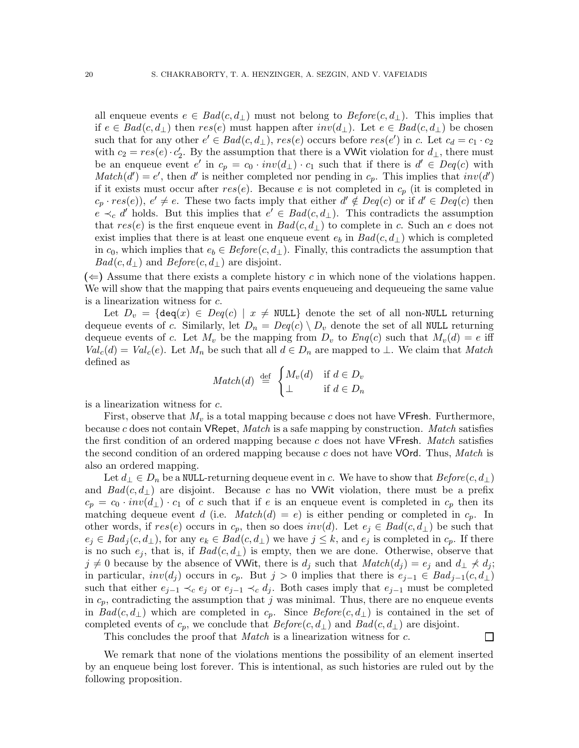all enqueue events  $e \in \text{Bad}(c, d_{\perp})$  must not belong to  $\text{Before}(c, d_{\perp})$ . This implies that if  $e \in Bad(c, d<sub>⊥</sub>)$  then  $res(e)$  must happen after  $inv(d<sub>⊥</sub>)$ . Let  $e \in Bad(c, d<sub>⊥</sub>)$  be chosen such that for any other  $e' \in Bad(c, d_\perp)$ ,  $res(e)$  occurs before  $res(e')$  in c. Let  $c_d = c_1 \cdot c_2$ with  $c_2 = res(e) \cdot c'_2$ . By the assumption that there is a VWit violation for  $d_{\perp}$ , there must be an enqueue event  $e'$  in  $c_p = c_0 \cdot inv(d_\perp) \cdot c_1$  such that if there is  $d' \in Deq(c)$  with  $Match(d') = e'$ , then d' is neither completed nor pending in  $c_p$ . This implies that  $inv(d')$ if it exists must occur after  $res(e)$ . Because e is not completed in  $c_p$  (it is completed in  $c_p \cdot res(e)$ ,  $e' \neq e$ . These two facts imply that either  $d' \notin Deg(c)$  or if  $d' \in Deg(c)$  then  $e \prec_c d'$  holds. But this implies that  $e' \in Bad(c, d_\perp)$ . This contradicts the assumption that  $res(e)$  is the first enqueue event in  $Bad(c, d_{\perp})$  to complete in c. Such an e does not exist implies that there is at least one enqueue event  $e_b$  in  $Bad(c, d_{\perp})$  which is completed in  $c_0$ , which implies that  $e_b \in Before(c, d_\perp)$ . Finally, this contradicts the assumption that  $Bad(c, d_{\perp})$  and  $Before(c, d_{\perp})$  are disjoint.

 $(\Leftarrow)$  Assume that there exists a complete history c in which none of the violations happen. We will show that the mapping that pairs events enqueueing and dequeueing the same value is a linearization witness for c.

Let  $D_v = \{ \text{deg}(x) \in \text{Deg}(c) \mid x \neq \text{NULL} \}$  denote the set of all non-NULL returning dequeue events of c. Similarly, let  $D_n = Deq(c) \setminus D_v$  denote the set of all NULL returning dequeue events of c. Let  $M_v$  be the mapping from  $D_v$  to  $Enq(c)$  such that  $M_v(d) = e$  iff  $Val_c(d) = Val_c(e)$ . Let  $M_n$  be such that all  $d \in D_n$  are mapped to  $\perp$ . We claim that Match defined as

$$
Match(d) \stackrel{\text{def}}{=} \begin{cases} M_v(d) & \text{if } d \in D_v \\ \perp & \text{if } d \in D_n \end{cases}
$$

is a linearization witness for c.

First, observe that  $M_v$  is a total mapping because c does not have VFresh. Furthermore, because c does not contain VRepet, Match is a safe mapping by construction. Match satisfies the first condition of an ordered mapping because c does not have  $\nVpsilon$  Eresh. *Match* satisfies the second condition of an ordered mapping because  $c$  does not have VOrd. Thus, Match is also an ordered mapping.

Let  $d_{\perp} \in D_n$  be a NULL-returning dequeue event in c. We have to show that  $Before(c, d_{\perp})$ and  $Bad(c, d<sub>\perp</sub>)$  are disjoint. Because c has no VWit violation, there must be a prefix  $c_p = c_0 \cdot inv(d_\perp) \cdot c_1$  of c such that if e is an enqueue event is completed in  $c_p$  then its matching dequeue event d (i.e.  $Match(d) = e$ ) is either pending or completed in  $c_p$ . In other words, if  $res(e)$  occurs in  $c_p$ , then so does  $inv(d)$ . Let  $e_i \in Bad(c, d_{\perp})$  be such that  $e_j \in Bad_j(c, d_\perp)$ , for any  $e_k \in Bad(c, d_\perp)$  we have  $j \leq k$ , and  $e_j$  is completed in  $c_p$ . If there is no such  $e_j$ , that is, if  $Bad(c, d_\perp)$  is empty, then we are done. Otherwise, observe that  $j \neq 0$  because by the absence of VWit, there is  $d_j$  such that  $Match(d_j) = e_j$  and  $d_{\perp} \neq d_j$ ; in particular,  $inv(d_j)$  occurs in  $c_p$ . But  $j > 0$  implies that there is  $e_{j-1} \in Bad_{j-1}(c, d_+)$ such that either  $e_{j-1} \prec_c e_j$  or  $e_{j-1} \prec_c d_j$ . Both cases imply that  $e_{j-1}$  must be completed in  $c_p$ , contradicting the assumption that j was minimal. Thus, there are no enqueue events in  $Bad(c, d_{\perp})$  which are completed in  $c_p$ . Since  $Before(c, d_{\perp})$  is contained in the set of completed events of  $c_p$ , we conclude that  $Before(c, d_{\perp})$  and  $Bad(c, d_{\perp})$  are disjoint.

This concludes the proof that *Match* is a linearization witness for c.

 $\Box$ 

We remark that none of the violations mentions the possibility of an element inserted by an enqueue being lost forever. This is intentional, as such histories are ruled out by the following proposition.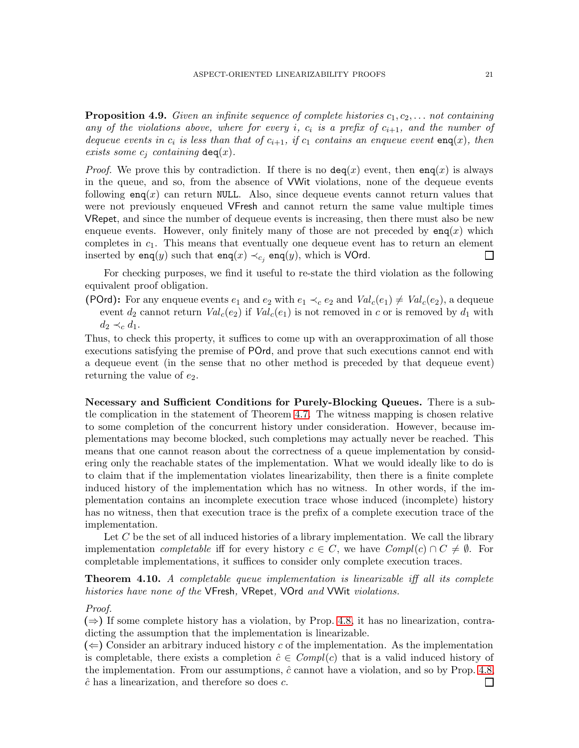**Proposition 4.9.** Given an infinite sequence of complete histories  $c_1, c_2, \ldots$  not containing any of the violations above, where for every i,  $c_i$  is a prefix of  $c_{i+1}$ , and the number of dequeue events in  $c_i$  is less than that of  $c_{i+1}$ , if  $c_1$  contains an enqueue event enq(x), then exists some  $c_j$  containing deq(x).

*Proof.* We prove this by contradiction. If there is no  $deg(x)$  event, then enq(x) is always in the queue, and so, from the absence of VWit violations, none of the dequeue events following  $\mathsf{enq}(x)$  can return NULL. Also, since dequeue events cannot return values that were not previously enqueued VFresh and cannot return the same value multiple times VRepet, and since the number of dequeue events is increasing, then there must also be new enqueue events. However, only finitely many of those are not preceded by  $\text{eng}(x)$  which completes in  $c_1$ . This means that eventually one dequeue event has to return an element inserted by enq(y) such that enq(x)  $\prec_{c_j}$  enq(y), which is VOrd.  $\Box$ 

For checking purposes, we find it useful to re-state the third violation as the following equivalent proof obligation.

(POrd): For any enqueue events  $e_1$  and  $e_2$  with  $e_1 \prec_c e_2$  and  $Val_c(e_1) \neq Val_c(e_2)$ , a dequeue event  $d_2$  cannot return  $Val_c(e_2)$  if  $Val_c(e_1)$  is not removed in c or is removed by  $d_1$  with  $d_2 \prec_c d_1$ .

Thus, to check this property, it suffices to come up with an overapproximation of all those executions satisfying the premise of POrd, and prove that such executions cannot end with a dequeue event (in the sense that no other method is preceded by that dequeue event) returning the value of  $e_2$ .

Necessary and Sufficient Conditions for Purely-Blocking Queues. There is a subtle complication in the statement of Theorem [4.7.](#page-14-0) The witness mapping is chosen relative to some completion of the concurrent history under consideration. However, because implementations may become blocked, such completions may actually never be reached. This means that one cannot reason about the correctness of a queue implementation by considering only the reachable states of the implementation. What we would ideally like to do is to claim that if the implementation violates linearizability, then there is a finite complete induced history of the implementation which has no witness. In other words, if the implementation contains an incomplete execution trace whose induced (incomplete) history has no witness, then that execution trace is the prefix of a complete execution trace of the implementation.

Let  $C$  be the set of all induced histories of a library implementation. We call the library implementation *completable* iff for every history  $c \in C$ , we have  $Compl(c) \cap C \neq \emptyset$ . For completable implementations, it suffices to consider only complete execution traces.

<span id="page-20-0"></span>**Theorem 4.10.** A completable queue implementation is linearizable iff all its complete histories have none of the VFresh, VRepet, VOrd and VWit violations.

#### Proof.

 $(\Rightarrow)$  If some complete history has a violation, by Prop. [4.8,](#page-18-1) it has no linearization, contradicting the assumption that the implementation is linearizable.

 $(\Leftarrow)$  Consider an arbitrary induced history c of the implementation. As the implementation is completable, there exists a completion  $\hat{c} \in Compl(c)$  that is a valid induced history of the implementation. From our assumptions,  $\hat{c}$  cannot have a violation, and so by Prop. [4.8,](#page-18-1)  $\hat{c}$  has a linearization, and therefore so does  $c$ . П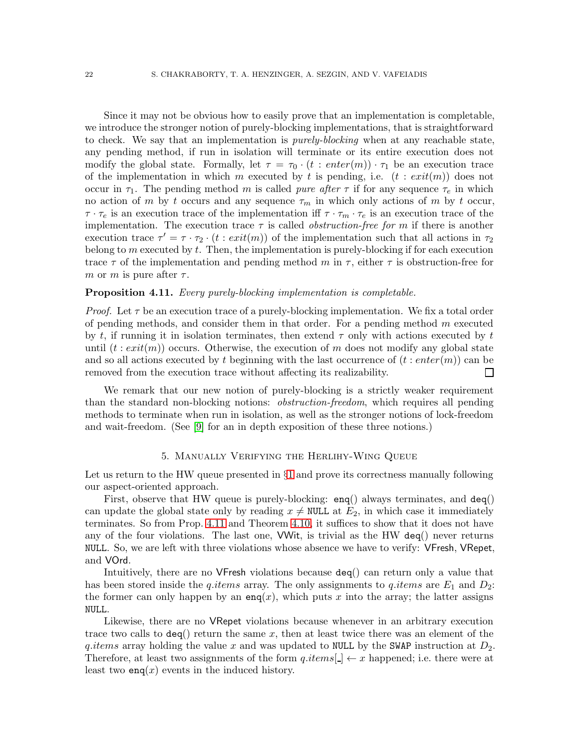Since it may not be obvious how to easily prove that an implementation is completable, we introduce the stronger notion of purely-blocking implementations, that is straightforward to check. We say that an implementation is *purely-blocking* when at any reachable state, any pending method, if run in isolation will terminate or its entire execution does not modify the global state. Formally, let  $\tau = \tau_0 \cdot (t : enter(m)) \cdot \tau_1$  be an execution trace of the implementation in which m executed by t is pending, i.e.  $(t : exit(m))$  does not occur in  $\tau_1$ . The pending method m is called *pure after*  $\tau$  if for any sequence  $\tau_e$  in which no action of m by t occurs and any sequence  $\tau_m$  in which only actions of m by t occur,  $\tau \cdot \tau_e$  is an execution trace of the implementation iff  $\tau \cdot \tau_m \cdot \tau_e$  is an execution trace of the implementation. The execution trace  $\tau$  is called *obstruction-free for m* if there is another execution trace  $\tau' = \tau \cdot \tau_2 \cdot (t : exit(m))$  of the implementation such that all actions in  $\tau_2$ belong to  $m$  executed by  $t$ . Then, the implementation is purely-blocking if for each execution trace  $\tau$  of the implementation and pending method m in  $\tau$ , either  $\tau$  is obstruction-free for m or m is pure after  $\tau$ .

# <span id="page-21-1"></span>**Proposition 4.11.** Every purely-blocking implementation is completable.

*Proof.* Let  $\tau$  be an execution trace of a purely-blocking implementation. We fix a total order of pending methods, and consider them in that order. For a pending method  $m$  executed by t, if running it in isolation terminates, then extend  $\tau$  only with actions executed by t until  $(t: exit(m))$  occurs. Otherwise, the execution of m does not modify any global state and so all actions executed by t beginning with the last occurrence of  $(t : enter(m))$  can be removed from the execution trace without affecting its realizability.  $\Box$ 

We remark that our new notion of purely-blocking is a strictly weaker requirement than the standard non-blocking notions: *obstruction-freedom*, which requires all pending methods to terminate when run in isolation, as well as the stronger notions of lock-freedom and wait-freedom. (See [\[9\]](#page-31-16) for an in depth exposition of these three notions.)

# 5. Manually Verifying the Herlihy-Wing Queue

<span id="page-21-0"></span>Let us return to the HW queue presented in  $\S1$  $\S1$  and prove its correctness manually following our aspect-oriented approach.

First, observe that HW queue is purely-blocking:  $\text{eng}()$  always terminates, and  $\text{deg}()$ can update the global state only by reading  $x \neq \text{NULL}$  at  $E_2$ , in which case it immediately terminates. So from Prop. [4.11](#page-21-1) and Theorem [4.10,](#page-20-0) it suffices to show that it does not have any of the four violations. The last one, VWit, is trivial as the HW deq() never returns NULL. So, we are left with three violations whose absence we have to verify: VFresh, VRepet, and VOrd.

Intuitively, there are no VFresh violations because deq() can return only a value that has been stored inside the q.items array. The only assignments to q.items are  $E_1$  and  $D_2$ : the former can only happen by an enq(x), which puts x into the array; the latter assigns NULL.

Likewise, there are no VRepet violations because whenever in an arbitrary execution trace two calls to  $\text{deg}(\mathcal{C})$  return the same x, then at least twice there was an element of the q.items array holding the value x and was updated to NULL by the SWAP instruction at  $D_2$ . Therefore, at least two assignments of the form  $q.items[$   $\rightarrow x$  happened; i.e. there were at least two  $enq(x)$  events in the induced history.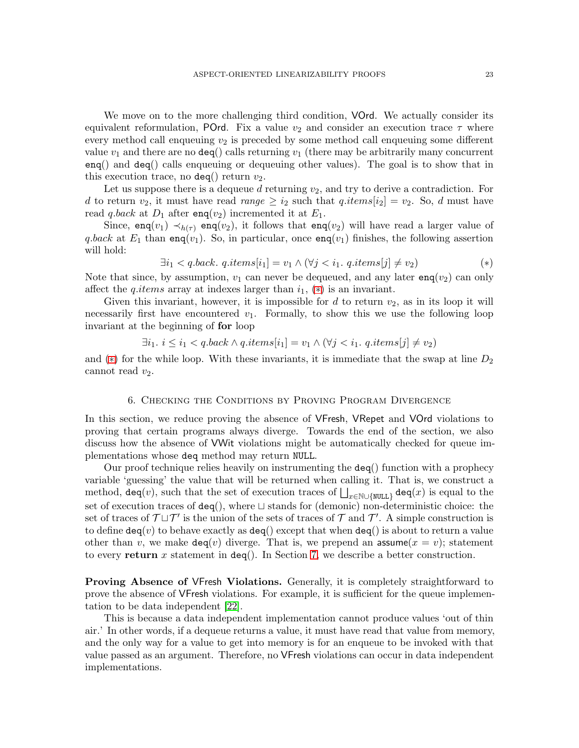We move on to the more challenging third condition, **VOrd.** We actually consider its equivalent reformulation, POrd. Fix a value  $v_2$  and consider an execution trace  $\tau$  where every method call enqueuing  $v_2$  is preceded by some method call enqueuing some different value  $v_1$  and there are no deq() calls returning  $v_1$  (there may be arbitrarily many concurrent enq() and deq() calls enqueuing or dequeuing other values). The goal is to show that in this execution trace, no  $\text{deg}()$  return  $v_2$ .

Let us suppose there is a dequeue  $d$  returning  $v_2$ , and try to derive a contradiction. For d to return  $v_2$ , it must have read  $range \geq i_2$  such that  $q.items[i_2] = v_2$ . So, d must have read q.back at  $D_1$  after enq(v<sub>2</sub>) incremented it at  $E_1$ .

Since, enq(v<sub>1</sub>)  $\prec_{h(\tau)}$  enq(v<sub>2</sub>), it follows that enq(v<sub>2</sub>) will have read a larger value of q.back at  $E_1$  than enq(v<sub>1</sub>). So, in particular, once enq(v<sub>1</sub>) finishes, the following assertion will hold:

<span id="page-22-1"></span>
$$
\exists i_1 < q \text{.back. } q \text{.items}[i_1] = v_1 \land (\forall j < i_1 \text{. } q \text{.items}[j] \neq v_2) \tag{*}
$$

Note that since, by assumption,  $v_1$  can never be dequeued, and any later eng( $v_2$ ) can only affect the *q.items* array at indexes larger than  $i_1$ ,  $(*)$  is an invariant.

Given this invariant, however, it is impossible for  $d$  to return  $v_2$ , as in its loop it will necessarily first have encountered  $v_1$ . Formally, to show this we use the following loop invariant at the beginning of for loop

$$
\exists i_1. \ i \leq i_1 < q.\text{back} \land q.\text{items}[i_1] = v_1 \land (\forall j < i_1.\ q.\text{items}[j] \neq v_2)
$$

<span id="page-22-0"></span>and (\*) for the while loop. With these invariants, it is immediate that the swap at line  $D_2$ cannot read  $v_2$ .

#### 6. Checking the Conditions by Proving Program Divergence

In this section, we reduce proving the absence of VFresh, VRepet and VOrd violations to proving that certain programs always diverge. Towards the end of the section, we also discuss how the absence of VWit violations might be automatically checked for queue implementations whose deq method may return NULL.

Our proof technique relies heavily on instrumenting the deq() function with a prophecy variable 'guessing' the value that will be returned when calling it. That is, we construct a method, deq(v), such that the set of execution traces of  $\bigsqcup_{x\in\mathbb{N}\cup\{\texttt{NULL}\}}$  deq(x) is equal to the set of execution traces of deq(), where ⊔ stands for (demonic) non-deterministic choice: the set of traces of  $\mathcal{T} \sqcup \mathcal{T}'$  is the union of the sets of traces of  $\mathcal{T}$  and  $\mathcal{T}'$ . A simple construction is to define  $\text{deg}(v)$  to behave exactly as  $\text{deg}(\cdot)$  except that when  $\text{deg}(\cdot)$  is about to return a value other than v, we make  $deg(v)$  diverge. That is, we prepend an assume  $(x = v)$ ; statement to every return x statement in  $deg()$ . In Section [7,](#page-26-0) we describe a better construction.

Proving Absence of VFresh Violations. Generally, it is completely straightforward to prove the absence of VFresh violations. For example, it is sufficient for the queue implementation to be data independent [\[22\]](#page-32-0).

This is because a data independent implementation cannot produce values 'out of thin air.' In other words, if a dequeue returns a value, it must have read that value from memory, and the only way for a value to get into memory is for an enqueue to be invoked with that value passed as an argument. Therefore, no VFresh violations can occur in data independent implementations.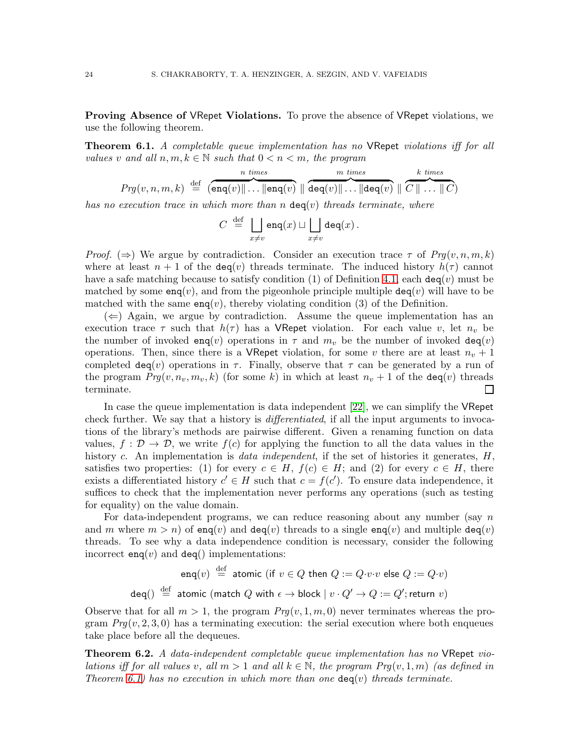Proving Absence of VRepet Violations. To prove the absence of VRepet violations, we use the following theorem.

<span id="page-23-0"></span>**Theorem 6.1.** A completable queue implementation has no VRepet violations iff for all values v and all  $n, m, k \in \mathbb{N}$  such that  $0 < n < m$ , the program

$$
Prg(v, n, m, k) \stackrel{\text{def}}{=} \overbrace{\left(\texttt{enq}(v) \| \dots \| \texttt{enq}(v) \| \overbrace{\texttt{deq}(v) \| \dots \| \texttt{deq}(v) \| \overbrace{\texttt{O} \cup \dots \| \texttt{O}}^{m \ times} \right) | \overbrace{C \| \dots \| C}^{k \ times}}
$$

has no execution trace in which more than n  $\text{deg}(v)$  threads terminate, where

$$
C \stackrel{\text{def}}{=} \bigsqcup_{x \neq v} \text{eng}(x) \sqcup \bigsqcup_{x \neq v} \text{deg}(x) .
$$

*Proof.* ( $\Rightarrow$ ) We argue by contradiction. Consider an execution trace  $\tau$  of  $Prg(v, n, m, k)$ where at least  $n + 1$  of the deq(v) threads terminate. The induced history  $h(\tau)$  cannot have a safe matching because to satisfy condition (1) of Definition [4.1,](#page-10-2) each  $deg(v)$  must be matched by some  $enq(v)$ , and from the pigeonhole principle multiple  $deq(v)$  will have to be matched with the same  $enq(v)$ , thereby violating condition (3) of the Definition.

 $(\Leftarrow)$  Again, we argue by contradiction. Assume the queue implementation has an execution trace  $\tau$  such that  $h(\tau)$  has a VRepet violation. For each value v, let  $n_v$  be the number of invoked eng(v) operations in  $\tau$  and  $m_v$  be the number of invoked deg(v) operations. Then, since there is a VRepet violation, for some v there are at least  $n_v + 1$ completed  $\text{deg}(v)$  operations in  $\tau$ . Finally, observe that  $\tau$  can be generated by a run of the program  $Prg(v, n_v, m_v, k)$  (for some k) in which at least  $n_v + 1$  of the deq(v) threads terminate.  $\Box$ 

In case the queue implementation is data independent [\[22\]](#page-32-0), we can simplify the VRepet check further. We say that a history is *differentiated*, if all the input arguments to invocations of the library's methods are pairwise different. Given a renaming function on data values,  $f: \mathcal{D} \to \mathcal{D}$ , we write  $f(c)$  for applying the function to all the data values in the history c. An implementation is *data independent*, if the set of histories it generates,  $H$ , satisfies two properties: (1) for every  $c \in H$ ,  $f(c) \in H$ ; and (2) for every  $c \in H$ , there exists a differentiated history  $c' \in H$  such that  $c = f(c')$ . To ensure data independence, it suffices to check that the implementation never performs any operations (such as testing for equality) on the value domain.

For data-independent programs, we can reduce reasoning about any number (say  $n$ ) and m where  $m > n$  of enq(v) and deq(v) threads to a single enq(v) and multiple deq(v) threads. To see why a data independence condition is necessary, consider the following incorrect enq(v) and deq() implementations:

$$
\begin{array}{rcl} \mathsf{enq}(v) & \stackrel{\mathrm{def}}{=} & \mathsf{atomic} \ (\text{if} \ v \in Q \ \text{then} \ Q := Q \cdot v \cdot v \ \text{else} \ Q := Q \cdot v) \\ \\ \mathsf{deg}() & \stackrel{\mathrm{def}}{=} & \mathsf{atomic} \ (\text{match} \ Q \ \text{with} \ \epsilon \to \text{block} \ | \ v \cdot Q' \to Q := Q'; \text{return } v) \end{array}
$$

Observe that for all  $m > 1$ , the program  $Prq(v, 1, m, 0)$  never terminates whereas the program  $Prg(v, 2, 3, 0)$  has a terminating execution: the serial execution where both enqueues take place before all the dequeues.

<span id="page-23-1"></span>Theorem 6.2. A data-independent completable queue implementation has no VRepet violations iff for all values v, all  $m > 1$  and all  $k \in \mathbb{N}$ , the program  $Pr(q(v, 1, m))$  (as defined in Theorem [6.1\)](#page-23-0) has no execution in which more than one  $\text{deg}(v)$  threads terminate.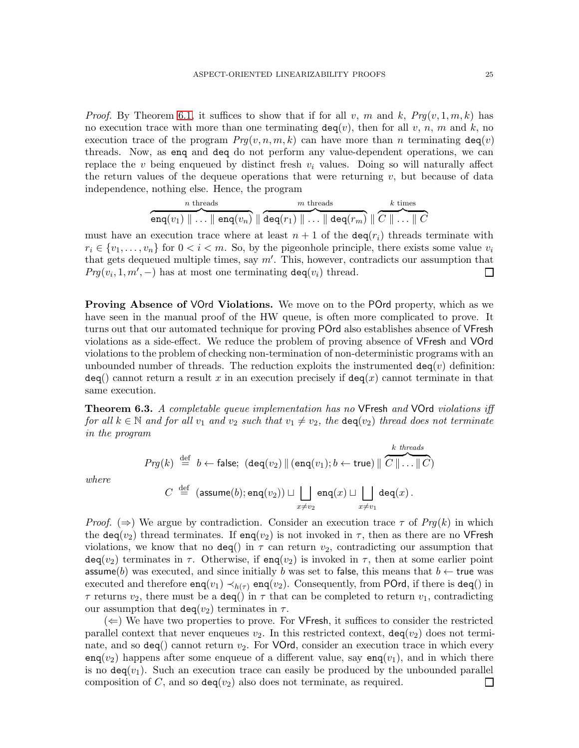*Proof.* By Theorem [6.1,](#page-23-0) it suffices to show that if for all v, m and k,  $Prq(v, 1, m, k)$  has no execution trace with more than one terminating  $\text{deg}(v)$ , then for all v, n, m and k, no execution trace of the program  $Prg(v, n, m, k)$  can have more than n terminating  $deg(v)$ threads. Now, as enq and deq do not perform any value-dependent operations, we can replace the v being enqueued by distinct fresh  $v_i$  values. Doing so will naturally affect the return values of the dequeue operations that were returning  $v$ , but because of data independence, nothing else. Hence, the program

$$
\overbrace{\mathsf{enq}(v_1) \parallel \ldots \parallel \mathsf{enq}(v_n)}^\text{$n$ threads} \overbrace{\mathsf{aeq}(r_1) \parallel \ldots \parallel \mathsf{deq}(r_m)}^\text{$m$ threads} \overbrace{\parallel C \parallel \ldots \parallel C}^\text{$k$ times}
$$

must have an execution trace where at least  $n + 1$  of the  $\text{deg}(r_i)$  threads terminate with  $r_i \in \{v_1, \ldots, v_n\}$  for  $0 < i < m$ . So, by the pigeonhole principle, there exists some value  $v_i$ that gets dequeued multiple times, say m′ . This, however, contradicts our assumption that  $Prg(v_i, 1, m', -)$  has at most one terminating  $\text{deg}(v_i)$  thread.  $\Box$ 

Proving Absence of VOrd Violations. We move on to the POrd property, which as we have seen in the manual proof of the HW queue, is often more complicated to prove. It turns out that our automated technique for proving POrd also establishes absence of VFresh violations as a side-effect. We reduce the problem of proving absence of VFresh and VOrd violations to the problem of checking non-termination of non-deterministic programs with an unbounded number of threads. The reduction exploits the instrumented  $deg(v)$  definition:  $deg()$  cannot return a result x in an execution precisely if  $deg(x)$  cannot terminate in that same execution.

<span id="page-24-0"></span>**Theorem 6.3.** A completable queue implementation has no VFresh and VOrd violations iff for all  $k \in \mathbb{N}$  and for all  $v_1$  and  $v_2$  such that  $v_1 \neq v_2$ , the  $\text{deg}(v_2)$  thread does not terminate in the program

$$
\begin{array}{rcl} \Pr{g(k)} & \stackrel{\mathrm{def}}{=} & b \leftarrow \mathsf{false}; \ (\mathsf{deq}(v_2) \, \| \, (\mathsf{enq}(v_1); b \leftarrow \mathsf{true}) \, \| \, \overbrace{C \, \| \ldots \| \, C}^{k \ \mathsf{threads}} \ ) \\ \\ C & \stackrel{\mathrm{def}}{=} & (\mathsf{assume}(b); \mathsf{enq}(v_2)) \sqcup \bigsqcup_{x \neq v_2} \mathsf{enq}(x) \sqcup \bigsqcup_{x \neq v_1} \mathsf{deq}(x) \, . \end{array}
$$

where

*Proof.* ( $\Rightarrow$ ) We argue by contradiction. Consider an execution trace  $\tau$  of  $Prq(k)$  in which the deq(v<sub>2</sub>) thread terminates. If enq(v<sub>2</sub>) is not invoked in  $\tau$ , then as there are no VFresh violations, we know that no  $\text{deg}()$  in  $\tau$  can return  $v_2$ , contradicting our assumption that  $\text{deg}(v_2)$  terminates in  $\tau$ . Otherwise, if  $\text{eng}(v_2)$  is invoked in  $\tau$ , then at some earlier point assume(b) was executed, and since initially b was set to false, this means that  $b \leftarrow$  true was executed and therefore  $\text{enq}(v_1) \prec_{h(\tau)} \text{enq}(v_2)$ . Consequently, from POrd, if there is deq() in  $\tau$  returns  $v_2$ , there must be a deq() in  $\tau$  that can be completed to return  $v_1$ , contradicting our assumption that  $\text{deg}(v_2)$  terminates in  $\tau$ .

 $(\Leftarrow)$  We have two properties to prove. For VFresh, it suffices to consider the restricted parallel context that never enqueues  $v_2$ . In this restricted context,  $\text{deg}(v_2)$  does not terminate, and so  $\text{deg}()$  cannot return  $v_2$ . For VOrd, consider an execution trace in which every  $\text{eng}(v_2)$  happens after some enqueue of a different value, say  $\text{eng}(v_1)$ , and in which there is no  $\text{deg}(v_1)$ . Such an execution trace can easily be produced by the unbounded parallel composition of C, and so  $\text{deg}(v_2)$  also does not terminate, as required. ப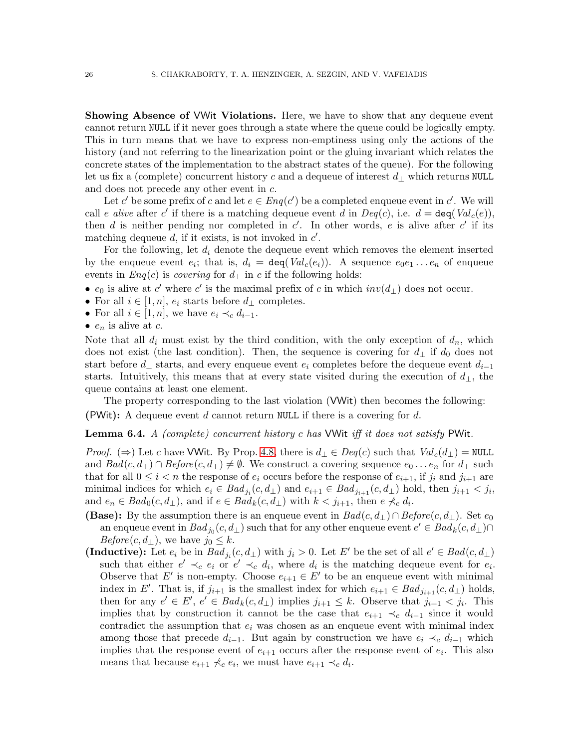Showing Absence of VWit Violations. Here, we have to show that any dequeue event cannot return NULL if it never goes through a state where the queue could be logically empty. This in turn means that we have to express non-emptiness using only the actions of the history (and not referring to the linearization point or the gluing invariant which relates the concrete states of the implementation to the abstract states of the queue). For the following let us fix a (complete) concurrent history c and a dequeue of interest  $d_{\perp}$  which returns NULL and does not precede any other event in c.

Let c' be some prefix of c and let  $e \in Enq(c')$  be a completed enqueue event in c'. We will call e alive after c' if there is a matching dequeue event d in  $Deg(c)$ , i.e.  $d = \text{deg}(Val_c(e))$ , then  $d$  is neither pending nor completed in  $c'$ . In other words,  $e$  is alive after  $c'$  if its matching dequeue  $d$ , if it exists, is not invoked in  $c'$ .

For the following, let  $d_i$  denote the dequeue event which removes the element inserted by the enqueue event  $e_i$ ; that is,  $d_i = \text{deg}(Val_c(e_i))$ . A sequence  $e_0e_1 \ldots e_n$  of enqueue events in  $Eng(c)$  is *covering* for  $d_{\perp}$  in c if the following holds:

- $e_0$  is alive at c' where c' is the maximal prefix of c in which  $inv(d_{\perp})$  does not occur.
- For all  $i \in [1, n]$ ,  $e_i$  starts before  $d_{\perp}$  completes.
- For all  $i \in [1, n]$ , we have  $e_i \prec_c d_{i-1}$ .
- $e_n$  is alive at c.

Note that all  $d_i$  must exist by the third condition, with the only exception of  $d_n$ , which does not exist (the last condition). Then, the sequence is covering for  $d_{\perp}$  if  $d_0$  does not start before  $d_{\perp}$  starts, and every enqueue event  $e_i$  completes before the dequeue event  $d_{i-1}$ starts. Intuitively, this means that at every state visited during the execution of  $d_{\perp}$ , the queue contains at least one element.

The property corresponding to the last violation (VWit) then becomes the following: (PWit): A dequeue event  $d$  cannot return NULL if there is a covering for  $d$ .

**Lemma 6.4.** A (complete) concurrent history c has VWit iff it does not satisfy PWit.

*Proof.* (⇒) Let c have VWit. By Prop. [4.8,](#page-18-1) there is  $d_{\perp} \in Deq(c)$  such that  $Val_c(d_{\perp}) = \text{NULL}$ and  $Bad(c, d_{\perp}) \cap Before(c, d_{\perp}) \neq \emptyset$ . We construct a covering sequence  $e_0 \ldots e_n$  for  $d_{\perp}$  such that for all  $0 \leq i < n$  the response of  $e_i$  occurs before the response of  $e_{i+1}$ , if  $j_i$  and  $j_{i+1}$  are minimal indices for which  $e_i \in Bad_{j_i}(c, d_\perp)$  and  $e_{i+1} \in Bad_{j_{i+1}}(c, d_\perp)$  hold, then  $j_{i+1} < j_i$ , and  $e_n \in \text{Bad}_0(c, d_\perp)$ , and if  $e \in \text{Bad}_k(c, d_\perp)$  with  $k < j_{i+1}$ , then  $e \nless c d_i$ .

- (Base): By the assumption there is an enqueue event in  $Bad(c, d_{\perp}) \cap Before(c, d_{\perp})$ . Set  $e_0$ an enqueue event in  $Bad_{j_0}(c, d_\perp)$  such that for any other enqueue event  $e' \in Bad_k(c, d_\perp) \cap$  $Before(c, d_{\perp}),$  we have  $j_0 \leq k$ .
- (Inductive): Let  $e_i$  be in  $Bad_{j_i}(c, d_\perp)$  with  $j_i > 0$ . Let E' be the set of all  $e' \in Bad(c, d_\perp)$ such that either  $e' \prec_c e_i$  or  $e' \prec_c d_i$ , where  $d_i$  is the matching dequeue event for  $e_i$ . Observe that E' is non-empty. Choose  $e_{i+1} \in E'$  to be an enqueue event with minimal index in E'. That is, if  $j_{i+1}$  is the smallest index for which  $e_{i+1} \in Bad_{j_{i+1}}(c, d_{\perp})$  holds, then for any  $e' \in E'$ ,  $e' \in \text{Bad}_k(c, d_\perp)$  implies  $j_{i+1} \leq k$ . Observe that  $j_{i+1} < j_i$ . This implies that by construction it cannot be the case that  $e_{i+1} \prec_c d_{i-1}$  since it would contradict the assumption that  $e_i$  was chosen as an enqueue event with minimal index among those that precede  $d_{i-1}$ . But again by construction we have  $e_i \prec_c d_{i-1}$  which implies that the response event of  $e_{i+1}$  occurs after the response event of  $e_i$ . This also means that because  $e_{i+1} \nless c_i$ , we must have  $e_{i+1} \prec_c d_i$ .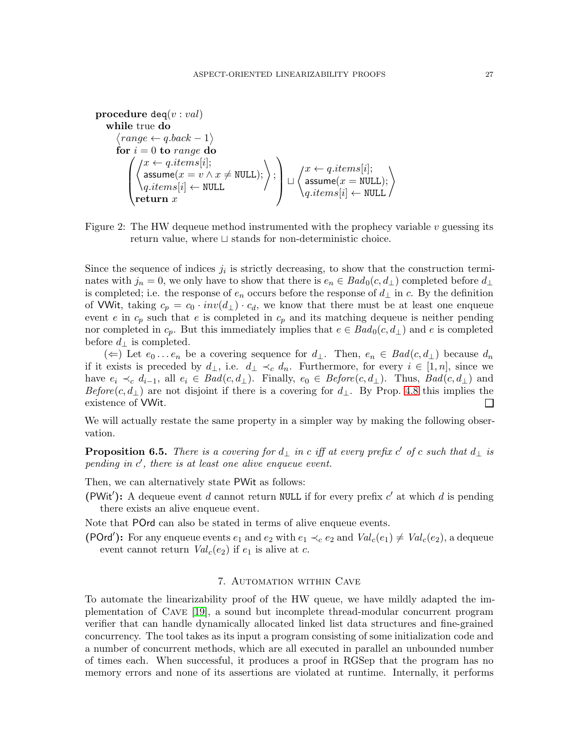$$
\begin{array}{ll}\n\textbf{procedure } \texttt{deq}(v: val) \\
\textbf{while true } \textbf{do} \\
\langle range \leftarrow q.\texttt{back} - 1 \rangle \\
\textbf{for } i = 0 \textbf{ to } range \textbf{ do} \\
\left( \begin{matrix} x \leftarrow q.\texttt{items}[i]; \\
 \texttt{assume}(x = v \land x \neq \texttt{NULL}); \\
 \texttt{q}.\texttt{items}[i] \leftarrow \texttt{NULL} \\
 \textbf{return } x \end{matrix} \right) \right) : \left. \begin{matrix} x \leftarrow q.\texttt{items}[i]; \\
 \texttt{assume}(x = \texttt{NULL}); \\
 \texttt{q}.\texttt{items}[i] \leftarrow \texttt{NULL} \end{matrix} \right) \right) \right) \right\} \times \begin{pmatrix} x \leftarrow q.\texttt{items}[i]; \\
 \texttt{q}.\texttt{items}[i] \leftarrow \texttt{NULL} \end{pmatrix} \end{array}
$$

<span id="page-26-1"></span>Figure 2: The HW dequeue method instrumented with the prophecy variable  $v$  guessing its return value, where ⊔ stands for non-deterministic choice.

Since the sequence of indices  $j_i$  is strictly decreasing, to show that the construction terminates with  $j_n = 0$ , we only have to show that there is  $e_n \in \text{Bad}_0(c, d_\perp)$  completed before  $d_\perp$ is completed; i.e. the response of  $e_n$  occurs before the response of  $d_{\perp}$  in c. By the definition of VWit, taking  $c_p = c_0 \cdot inv(d_\perp) \cdot c_d$ , we know that there must be at least one enqueue event e in  $c_p$  such that e is completed in  $c_p$  and its matching dequeue is neither pending nor completed in  $c_p$ . But this immediately implies that  $e \in Bad_0(c, d_\perp)$  and e is completed before  $d_{\perp}$  is completed.

(∈) Let  $e_0 \dots e_n$  be a covering sequence for  $d_{\perp}$ . Then,  $e_n \in Bad(c, d_{\perp})$  because  $d_n$ if it exists is preceded by  $d_{\perp}$ , i.e.  $d_{\perp} \prec_c d_n$ . Furthermore, for every  $i \in [1, n]$ , since we have  $e_i \prec_c d_{i-1}$ , all  $e_i \in Bad(c, d_\perp)$ . Finally,  $e_0 \in Before(c, d_\perp)$ . Thus,  $Bad(c, d_\perp)$  and Before $(c, d_\perp)$  are not disjoint if there is a covering for  $d_\perp$ . By Prop. [4.8](#page-18-1) this implies the existence of VWit.  $\Box$ 

We will actually restate the same property in a simpler way by making the following observation.

**Proposition 6.5.** There is a covering for  $d_{\perp}$  in c iff at every prefix c' of c such that  $d_{\perp}$  is pending in  $c'$ , there is at least one alive enqueue event.

Then, we can alternatively state PWit as follows:

(PWit'): A dequeue event d cannot return NULL if for every prefix  $c'$  at which d is pending there exists an alive enqueue event.

Note that POrd can also be stated in terms of alive enqueue events.

(POrd'): For any enqueue events  $e_1$  and  $e_2$  with  $e_1 \prec_c e_2$  and  $Val_c(e_1) \neq Val_c(e_2)$ , a dequeue event cannot return  $Val_c(e_2)$  if  $e_1$  is alive at c.

# 7. Automation within Cave

<span id="page-26-0"></span>To automate the linearizability proof of the HW queue, we have mildly adapted the implementation of Cave [\[19\]](#page-31-10), a sound but incomplete thread-modular concurrent program verifier that can handle dynamically allocated linked list data structures and fine-grained concurrency. The tool takes as its input a program consisting of some initialization code and a number of concurrent methods, which are all executed in parallel an unbounded number of times each. When successful, it produces a proof in RGSep that the program has no memory errors and none of its assertions are violated at runtime. Internally, it performs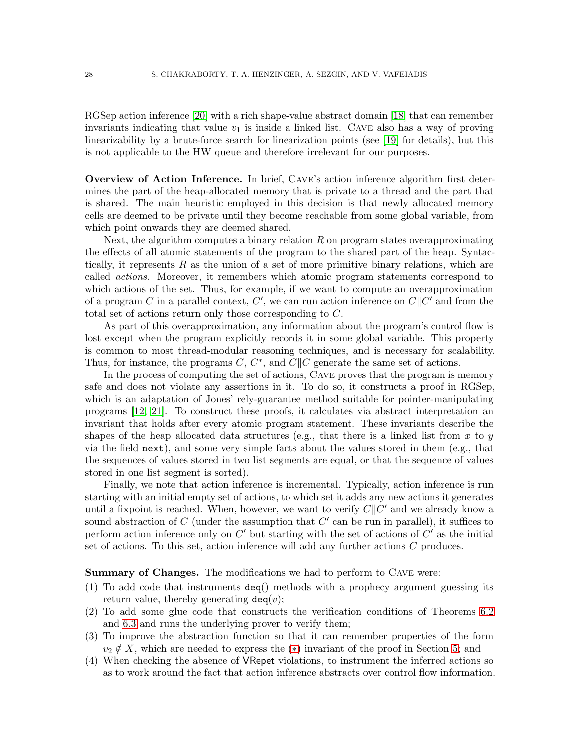RGSep action inference [\[20\]](#page-32-1) with a rich shape-value abstract domain [\[18\]](#page-31-9) that can remember invariants indicating that value  $v_1$  is inside a linked list. CAVE also has a way of proving linearizability by a brute-force search for linearization points (see [\[19\]](#page-31-10) for details), but this is not applicable to the HW queue and therefore irrelevant for our purposes.

Overview of Action Inference. In brief, Cave's action inference algorithm first determines the part of the heap-allocated memory that is private to a thread and the part that is shared. The main heuristic employed in this decision is that newly allocated memory cells are deemed to be private until they become reachable from some global variable, from which point onwards they are deemed shared.

Next, the algorithm computes a binary relation  $R$  on program states overapproximating the effects of all atomic statements of the program to the shared part of the heap. Syntactically, it represents  $R$  as the union of a set of more primitive binary relations, which are called actions. Moreover, it remembers which atomic program statements correspond to which actions of the set. Thus, for example, if we want to compute an overapproximation of a program C in a parallel context, C', we can run action inference on  $C||C'$  and from the total set of actions return only those corresponding to C.

As part of this overapproximation, any information about the program's control flow is lost except when the program explicitly records it in some global variable. This property is common to most thread-modular reasoning techniques, and is necessary for scalability. Thus, for instance, the programs  $C, C^*$ , and  $C||C$  generate the same set of actions.

In the process of computing the set of actions, Cave proves that the program is memory safe and does not violate any assertions in it. To do so, it constructs a proof in RGSep, which is an adaptation of Jones' rely-guarantee method suitable for pointer-manipulating programs [\[12,](#page-31-17) [21\]](#page-32-2). To construct these proofs, it calculates via abstract interpretation an invariant that holds after every atomic program statement. These invariants describe the shapes of the heap allocated data structures (e.g., that there is a linked list from x to y via the field next), and some very simple facts about the values stored in them (e.g., that the sequences of values stored in two list segments are equal, or that the sequence of values stored in one list segment is sorted).

Finally, we note that action inference is incremental. Typically, action inference is run starting with an initial empty set of actions, to which set it adds any new actions it generates until a fixpoint is reached. When, however, we want to verify  $C||C'$  and we already know a sound abstraction of  $C$  (under the assumption that  $C'$  can be run in parallel), it suffices to perform action inference only on  $C'$  but starting with the set of actions of  $C'$  as the initial set of actions. To this set, action inference will add any further actions C produces.

Summary of Changes. The modifications we had to perform to CAVE were:

- (1) To add code that instruments deq() methods with a prophecy argument guessing its return value, thereby generating  $\text{deg}(v)$ ;
- (2) To add some glue code that constructs the verification conditions of Theorems [6.2](#page-23-1) and [6.3](#page-24-0) and runs the underlying prover to verify them;
- (3) To improve the abstraction function so that it can remember properties of the form  $v_2 \notin X$ , which are needed to express the (\*) invariant of the proof in Section [5;](#page-21-0) and
- (4) When checking the absence of VRepet violations, to instrument the inferred actions so as to work around the fact that action inference abstracts over control flow information.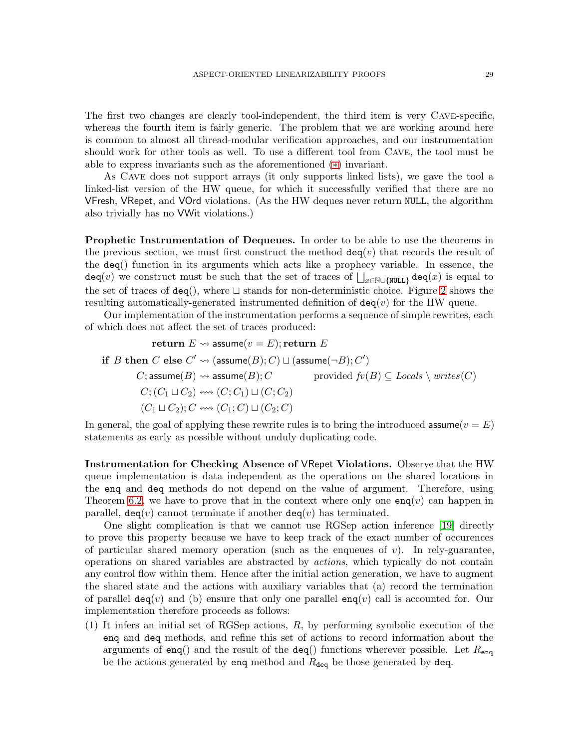The first two changes are clearly tool-independent, the third item is very Cave-specific, whereas the fourth item is fairly generic. The problem that we are working around here is common to almost all thread-modular verification approaches, and our instrumentation should work for other tools as well. To use a different tool from Cave, the tool must be able to express invariants such as the aforementioned ([∗](#page-22-1)) invariant.

As Cave does not support arrays (it only supports linked lists), we gave the tool a linked-list version of the HW queue, for which it successfully verified that there are no VFresh, VRepet, and VOrd violations. (As the HW deques never return NULL, the algorithm also trivially has no VWit violations.)

**Prophetic Instrumentation of Dequeues.** In order to be able to use the theorems in the previous section, we must first construct the method  $deg(v)$  that records the result of the deq() function in its arguments which acts like a prophecy variable. In essence, the  $\mathtt{deg}(v)$  we construct must be such that the set of traces of  $\bigsqcup_{x\in\mathbb{N}\cup\{\mathtt{NULL}\}}\mathtt{deq}(x)$  is equal to the set of traces of deq(), where ⊔ stands for non-deterministic choice. Figure [2](#page-26-1) shows the resulting automatically-generated instrumented definition of  $deg(v)$  for the HW queue.

Our implementation of the instrumentation performs a sequence of simple rewrites, each of which does not affect the set of traces produced:

return  $E \rightsquigarrow$  assume $(v = E)$ ; return  $E$ if  $B$  then  $C$  else  $C' \rightsquigarrow (\textsf{assume}(B); C) \sqcup (\textsf{assume}(\neg B); C')$ C; assume(B)  $\rightsquigarrow$  assume(B); C provided  $fv(B) \subseteq \text{Locals} \setminus \text{writes}(C)$  $C$ ;  $(C_1 \sqcup C_2)$  ( $C$ ;  $C_1$ )  $\sqcup$   $(C; C_2)$  $(C_1 \sqcup C_2); C \leftrightarrow (C_1; C) \sqcup (C_2; C)$ 

In general, the goal of applying these rewrite rules is to bring the introduced assume  $(v = E)$ statements as early as possible without unduly duplicating code.

Instrumentation for Checking Absence of VRepet Violations. Observe that the HW queue implementation is data independent as the operations on the shared locations in the enq and deq methods do not depend on the value of argument. Therefore, using Theorem [6.2,](#page-23-1) we have to prove that in the context where only one  $\text{eng}(v)$  can happen in parallel,  $\text{deg}(v)$  cannot terminate if another  $\text{deg}(v)$  has terminated.

One slight complication is that we cannot use RGSep action inference [\[19\]](#page-31-10) directly to prove this property because we have to keep track of the exact number of occurences of particular shared memory operation (such as the enqueues of  $v$ ). In rely-guarantee, operations on shared variables are abstracted by actions, which typically do not contain any control flow within them. Hence after the initial action generation, we have to augment the shared state and the actions with auxiliary variables that (a) record the termination of parallel  $\text{deg}(v)$  and (b) ensure that only one parallel  $\text{eng}(v)$  call is accounted for. Our implementation therefore proceeds as follows:

(1) It infers an initial set of RGSep actions, R, by performing symbolic execution of the enq and deq methods, and refine this set of actions to record information about the arguments of enq() and the result of the deq() functions wherever possible. Let  $R_{\text{enq}}$ be the actions generated by enq method and  $R_{\text{deq}}$  be those generated by deq.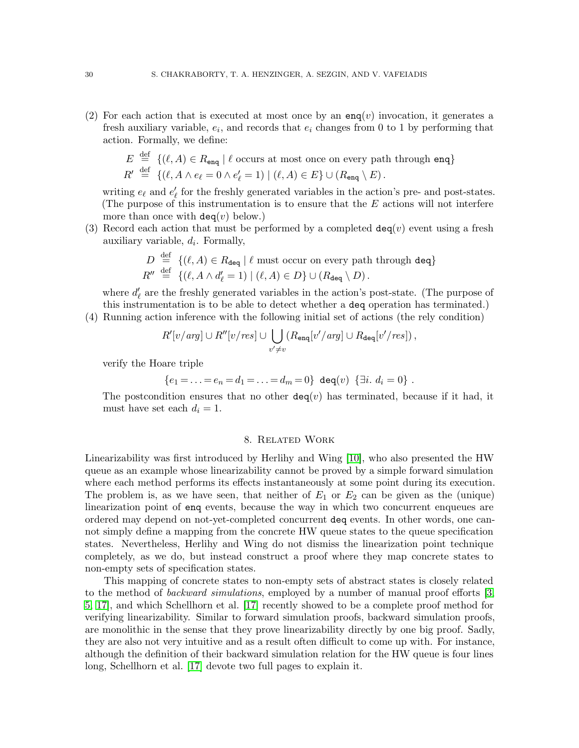(2) For each action that is executed at most once by an  $\text{eng}(v)$  invocation, it generates a fresh auxiliary variable,  $e_i$ , and records that  $e_i$  changes from 0 to 1 by performing that action. Formally, we define:

$$
E \stackrel{\text{def}}{=} \{(\ell, A) \in R_{\text{enq}} \mid \ell \text{ occurs at most once on every path through } \text{enq}\}\
$$

$$
R' \stackrel{\text{def}}{=} \{ (\ell, A \wedge e_{\ell} = 0 \wedge e'_{\ell} = 1) \mid (\ell, A) \in E \} \cup (R_{\text{enq}} \setminus E).
$$

writing  $e_{\ell}$  and  $e'_{\ell}$  for the freshly generated variables in the action's pre- and post-states. (The purpose of this instrumentation is to ensure that the  $E$  actions will not interfere more than once with  $deg(v)$  below.)

(3) Record each action that must be performed by a completed  $\text{deg}(v)$  event using a fresh auxiliary variable,  $d_i$ . Formally,

$$
D \stackrel{\text{def}}{=} \{ (\ell, A) \in R_{\text{deg}} \mid \ell \text{ must occur on every path through } \text{deg} \}
$$
  

$$
R'' \stackrel{\text{def}}{=} \{ (\ell, A \land d'_{\ell} = 1) \mid (\ell, A) \in D \} \cup (R_{\text{deg}} \setminus D).
$$

where  $d'_{\ell}$  are the freshly generated variables in the action's post-state. (The purpose of this instrumentation is to be able to detect whether a deq operation has terminated.)

(4) Running action inference with the following initial set of actions (the rely condition)

$$
R'[v/arg] \cup R''[v/res] \cup \bigcup_{v'\neq v} (R_{\text{enq}}[v'/arg] \cup R_{\text{deq}}[v'/res]),
$$

verify the Hoare triple

$$
\{e_1 = \ldots = e_n = d_1 = \ldots = d_m = 0\} \deg(v) \{\exists i. d_i = 0\}.
$$

The postcondition ensures that no other  $deg(v)$  has terminated, because if it had, it must have set each  $d_i = 1$ .

# 8. Related Work

<span id="page-29-0"></span>Linearizability was first introduced by Herlihy and Wing [\[10\]](#page-31-0), who also presented the HW queue as an example whose linearizability cannot be proved by a simple forward simulation where each method performs its effects instantaneously at some point during its execution. The problem is, as we have seen, that neither of  $E_1$  or  $E_2$  can be given as the (unique) linearization point of enq events, because the way in which two concurrent enqueues are ordered may depend on not-yet-completed concurrent deq events. In other words, one cannot simply define a mapping from the concrete HW queue states to the queue specification states. Nevertheless, Herlihy and Wing do not dismiss the linearization point technique completely, as we do, but instead construct a proof where they map concrete states to non-empty sets of specification states.

This mapping of concrete states to non-empty sets of abstract states is closely related to the method of *backward simulations*, employed by a number of manual proof efforts [\[3,](#page-31-4) [5,](#page-31-6) [17\]](#page-31-8), and which Schellhorn et al. [\[17\]](#page-31-8) recently showed to be a complete proof method for verifying linearizability. Similar to forward simulation proofs, backward simulation proofs, are monolithic in the sense that they prove linearizability directly by one big proof. Sadly, they are also not very intuitive and as a result often difficult to come up with. For instance, although the definition of their backward simulation relation for the HW queue is four lines long, Schellhorn et al. [\[17\]](#page-31-8) devote two full pages to explain it.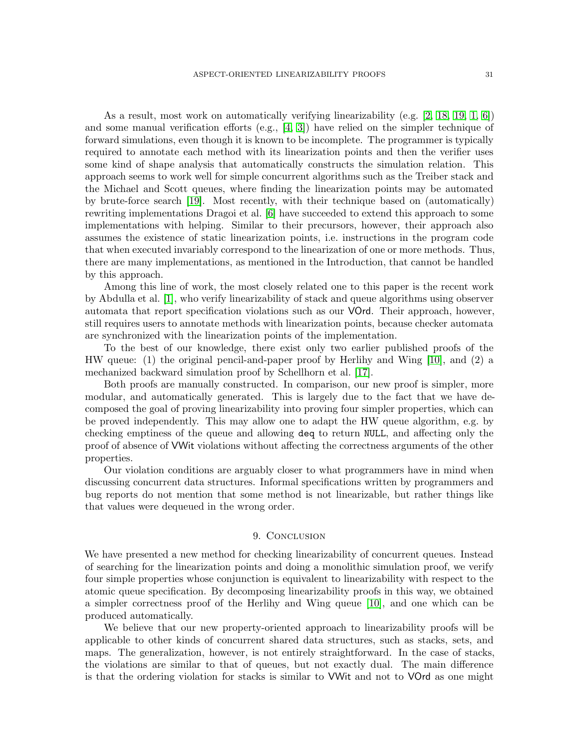As a result, most work on automatically verifying linearizability (e.g. [\[2,](#page-31-3) [18,](#page-31-9) [19,](#page-31-10) [1,](#page-31-2) [6\]](#page-31-18)) and some manual verification efforts (e.g.,  $[4, 3]$  $[4, 3]$ ) have relied on the simpler technique of forward simulations, even though it is known to be incomplete. The programmer is typically required to annotate each method with its linearization points and then the verifier uses some kind of shape analysis that automatically constructs the simulation relation. This approach seems to work well for simple concurrent algorithms such as the Treiber stack and the Michael and Scott queues, where finding the linearization points may be automated by brute-force search [\[19\]](#page-31-10). Most recently, with their technique based on (automatically) rewriting implementations Dragoi et al. [\[6\]](#page-31-18) have succeeded to extend this approach to some implementations with helping. Similar to their precursors, however, their approach also assumes the existence of static linearization points, i.e. instructions in the program code that when executed invariably correspond to the linearization of one or more methods. Thus, there are many implementations, as mentioned in the Introduction, that cannot be handled by this approach.

Among this line of work, the most closely related one to this paper is the recent work by Abdulla et al. [\[1\]](#page-31-2), who verify linearizability of stack and queue algorithms using observer automata that report specification violations such as our VOrd. Their approach, however, still requires users to annotate methods with linearization points, because checker automata are synchronized with the linearization points of the implementation.

To the best of our knowledge, there exist only two earlier published proofs of the HW queue: (1) the original pencil-and-paper proof by Herlihy and Wing [\[10\]](#page-31-0), and (2) a mechanized backward simulation proof by Schellhorn et al. [\[17\]](#page-31-8).

Both proofs are manually constructed. In comparison, our new proof is simpler, more modular, and automatically generated. This is largely due to the fact that we have decomposed the goal of proving linearizability into proving four simpler properties, which can be proved independently. This may allow one to adapt the HW queue algorithm, e.g. by checking emptiness of the queue and allowing deq to return NULL, and affecting only the proof of absence of VWit violations without affecting the correctness arguments of the other properties.

Our violation conditions are arguably closer to what programmers have in mind when discussing concurrent data structures. Informal specifications written by programmers and bug reports do not mention that some method is not linearizable, but rather things like that values were dequeued in the wrong order.

# 9. CONCLUSION

<span id="page-30-0"></span>We have presented a new method for checking linearizability of concurrent queues. Instead of searching for the linearization points and doing a monolithic simulation proof, we verify four simple properties whose conjunction is equivalent to linearizability with respect to the atomic queue specification. By decomposing linearizability proofs in this way, we obtained a simpler correctness proof of the Herlihy and Wing queue [\[10\]](#page-31-0), and one which can be produced automatically.

We believe that our new property-oriented approach to linearizability proofs will be applicable to other kinds of concurrent shared data structures, such as stacks, sets, and maps. The generalization, however, is not entirely straightforward. In the case of stacks, the violations are similar to that of queues, but not exactly dual. The main difference is that the ordering violation for stacks is similar to VWit and not to VOrd as one might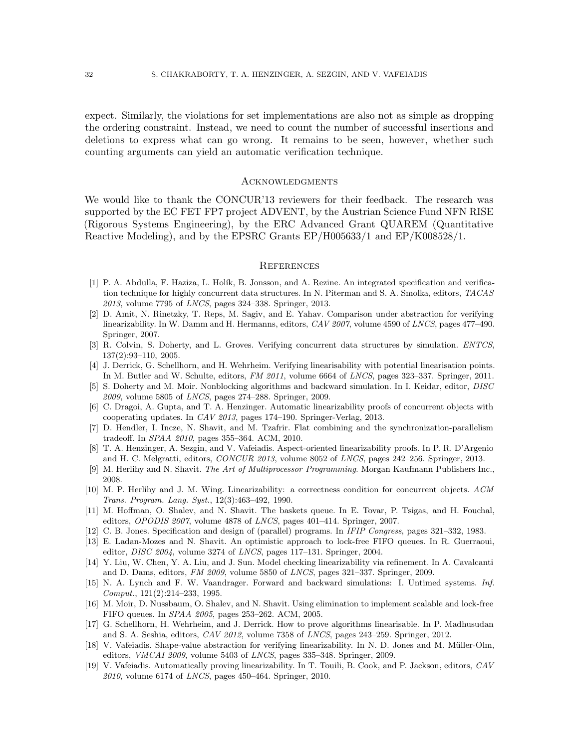expect. Similarly, the violations for set implementations are also not as simple as dropping the ordering constraint. Instead, we need to count the number of successful insertions and deletions to express what can go wrong. It remains to be seen, however, whether such counting arguments can yield an automatic verification technique.

### **ACKNOWLEDGMENTS**

We would like to thank the CONCUR'13 reviewers for their feedback. The research was supported by the EC FET FP7 project ADVENT, by the Austrian Science Fund NFN RISE (Rigorous Systems Engineering), by the ERC Advanced Grant QUAREM (Quantitative Reactive Modeling), and by the EPSRC Grants EP/H005633/1 and EP/K008528/1.

#### **REFERENCES**

- <span id="page-31-2"></span>[1] P. A. Abdulla, F. Haziza, L. Holík, B. Jonsson, and A. Rezine. An integrated specification and verification technique for highly concurrent data structures. In N. Piterman and S. A. Smolka, editors, *TACAS 2013*, volume 7795 of *LNCS*, pages 324–338. Springer, 2013.
- <span id="page-31-3"></span>[2] D. Amit, N. Rinetzky, T. Reps, M. Sagiv, and E. Yahav. Comparison under abstraction for verifying linearizability. In W. Damm and H. Hermanns, editors, *CAV 2007*, volume 4590 of *LNCS*, pages 477–490. Springer, 2007.
- <span id="page-31-4"></span>[3] R. Colvin, S. Doherty, and L. Groves. Verifying concurrent data structures by simulation. *ENTCS*, 137(2):93–110, 2005.
- <span id="page-31-5"></span>[4] J. Derrick, G. Schellhorn, and H. Wehrheim. Verifying linearisability with potential linearisation points. In M. Butler and W. Schulte, editors, *FM 2011*, volume 6664 of *LNCS*, pages 323–337. Springer, 2011.
- <span id="page-31-6"></span>[5] S. Doherty and M. Moir. Nonblocking algorithms and backward simulation. In I. Keidar, editor, *DISC 2009*, volume 5805 of *LNCS*, pages 274–288. Springer, 2009.
- <span id="page-31-18"></span>[6] C. Dragoi, A. Gupta, and T. A. Henzinger. Automatic linearizability proofs of concurrent objects with cooperating updates. In *CAV 2013*, pages 174–190. Springer-Verlag, 2013.
- <span id="page-31-14"></span>[7] D. Hendler, I. Incze, N. Shavit, and M. Tzafrir. Flat combining and the synchronization-parallelism tradeoff. In *SPAA 2010*, pages 355–364. ACM, 2010.
- <span id="page-31-15"></span>[8] T. A. Henzinger, A. Sezgin, and V. Vafeiadis. Aspect-oriented linearizability proofs. In P. R. D'Argenio and H. C. Melgratti, editors, *CONCUR 2013*, volume 8052 of *LNCS*, pages 242–256. Springer, 2013.
- <span id="page-31-16"></span><span id="page-31-0"></span>[9] M. Herlihy and N. Shavit. *The Art of Multiprocessor Programming*. Morgan Kaufmann Publishers Inc., 2008.
- [10] M. P. Herlihy and J. M. Wing. Linearizability: a correctness condition for concurrent objects. *ACM Trans. Program. Lang. Syst.*, 12(3):463–492, 1990.
- <span id="page-31-13"></span>[11] M. Hoffman, O. Shalev, and N. Shavit. The baskets queue. In E. Tovar, P. Tsigas, and H. Fouchal, editors, *OPODIS 2007*, volume 4878 of *LNCS*, pages 401–414. Springer, 2007.
- <span id="page-31-17"></span><span id="page-31-11"></span>[12] C. B. Jones. Specification and design of (parallel) programs. In *IFIP Congress*, pages 321–332, 1983.
- [13] E. Ladan-Mozes and N. Shavit. An optimistic approach to lock-free FIFO queues. In R. Guerraoui, editor, *DISC 2004*, volume 3274 of *LNCS*, pages 117–131. Springer, 2004.
- <span id="page-31-7"></span>[14] Y. Liu, W. Chen, Y. A. Liu, and J. Sun. Model checking linearizability via refinement. In A. Cavalcanti and D. Dams, editors, *FM 2009*, volume 5850 of *LNCS*, pages 321–337. Springer, 2009.
- <span id="page-31-1"></span>[15] N. A. Lynch and F. W. Vaandrager. Forward and backward simulations: I. Untimed systems. *Inf. Comput.*, 121(2):214–233, 1995.
- <span id="page-31-12"></span>[16] M. Moir, D. Nussbaum, O. Shalev, and N. Shavit. Using elimination to implement scalable and lock-free FIFO queues. In *SPAA 2005*, pages 253–262. ACM, 2005.
- <span id="page-31-8"></span>[17] G. Schellhorn, H. Wehrheim, and J. Derrick. How to prove algorithms linearisable. In P. Madhusudan and S. A. Seshia, editors, *CAV 2012*, volume 7358 of *LNCS*, pages 243–259. Springer, 2012.
- <span id="page-31-9"></span>[18] V. Vafeiadis. Shape-value abstraction for verifying linearizability. In N. D. Jones and M. Müller-Olm, editors, *VMCAI 2009*, volume 5403 of *LNCS*, pages 335–348. Springer, 2009.
- <span id="page-31-10"></span>[19] V. Vafeiadis. Automatically proving linearizability. In T. Touili, B. Cook, and P. Jackson, editors, *CAV 2010*, volume 6174 of *LNCS*, pages 450–464. Springer, 2010.